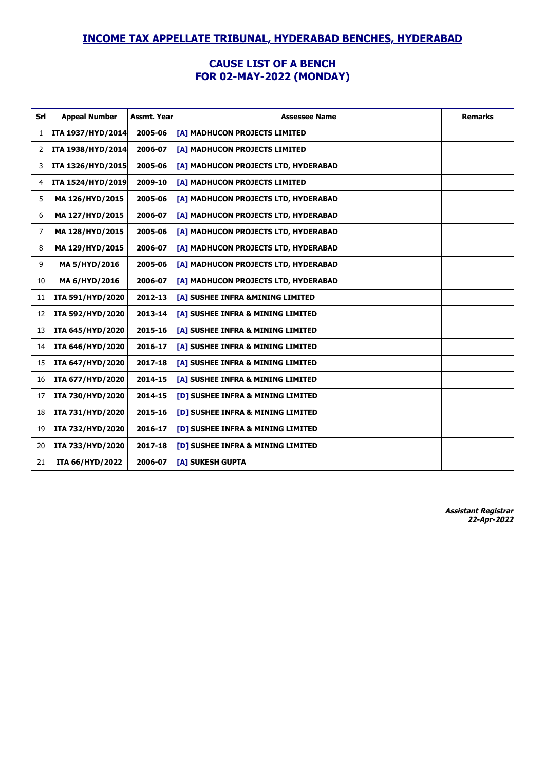#### **CAUSE LIST OF A BENCH FOR 02-MAY-2022 (MONDAY)**

| Srl | <b>Appeal Number</b> | Assmt. Year | <b>Assessee Name</b>                         | <b>Remarks</b>      |
|-----|----------------------|-------------|----------------------------------------------|---------------------|
| 1   | ITA 1937/HYD/2014    | 2005-06     | [A] MADHUCON PROJECTS LIMITED                |                     |
| 2   | ITA 1938/HYD/2014    | 2006-07     | [A] MADHUCON PROJECTS LIMITED                |                     |
| 3   | ITA 1326/HYD/2015    | 2005-06     | [A] MADHUCON PROJECTS LTD, HYDERABAD         |                     |
| 4   | ITA 1524/HYD/2019    | 2009-10     | [A] MADHUCON PROJECTS LIMITED                |                     |
| 5   | MA 126/HYD/2015      | 2005-06     | [A] MADHUCON PROJECTS LTD, HYDERABAD         |                     |
| 6   | MA 127/HYD/2015      | 2006-07     | [A] MADHUCON PROJECTS LTD, HYDERABAD         |                     |
| 7   | MA 128/HYD/2015      | 2005-06     | [A] MADHUCON PROJECTS LTD, HYDERABAD         |                     |
| 8   | MA 129/HYD/2015      | 2006-07     | [A] MADHUCON PROJECTS LTD, HYDERABAD         |                     |
| 9   | MA 5/HYD/2016        | 2005-06     | [A] MADHUCON PROJECTS LTD, HYDERABAD         |                     |
| 10  | MA 6/HYD/2016        | 2006-07     | [A] MADHUCON PROJECTS LTD, HYDERABAD         |                     |
| 11  | ITA 591/HYD/2020     | 2012-13     | [A] SUSHEE INFRA &MINING LIMITED             |                     |
| 12  | ITA 592/HYD/2020     | 2013-14     | [A] SUSHEE INFRA & MINING LIMITED            |                     |
| 13  | ITA 645/HYD/2020     | 2015-16     | [A] SUSHEE INFRA & MINING LIMITED            |                     |
| 14  | ITA 646/HYD/2020     | 2016-17     | [A] SUSHEE INFRA & MINING LIMITED            |                     |
| 15  | ITA 647/HYD/2020     | 2017-18     | [A] SUSHEE INFRA & MINING LIMITED            |                     |
| 16  | ITA 677/HYD/2020     | 2014-15     | [A] SUSHEE INFRA & MINING LIMITED            |                     |
| 17  | ITA 730/HYD/2020     | 2014-15     | [D] SUSHEE INFRA & MINING LIMITED            |                     |
| 18  | ITA 731/HYD/2020     | 2015-16     | [D] SUSHEE INFRA & MINING LIMITED            |                     |
| 19  | ITA 732/HYD/2020     | 2016-17     | <b>[D] SUSHEE INFRA &amp; MINING LIMITED</b> |                     |
| 20  | ITA 733/HYD/2020     | 2017-18     | [D] SUSHEE INFRA & MINING LIMITED            |                     |
| 21  | ITA 66/HYD/2022      | 2006-07     | [A] SUKESH GUPTA                             |                     |
|     |                      |             |                                              |                     |
|     |                      |             |                                              |                     |
|     |                      |             |                                              | Assistant Registrar |

**22-Apr-2022**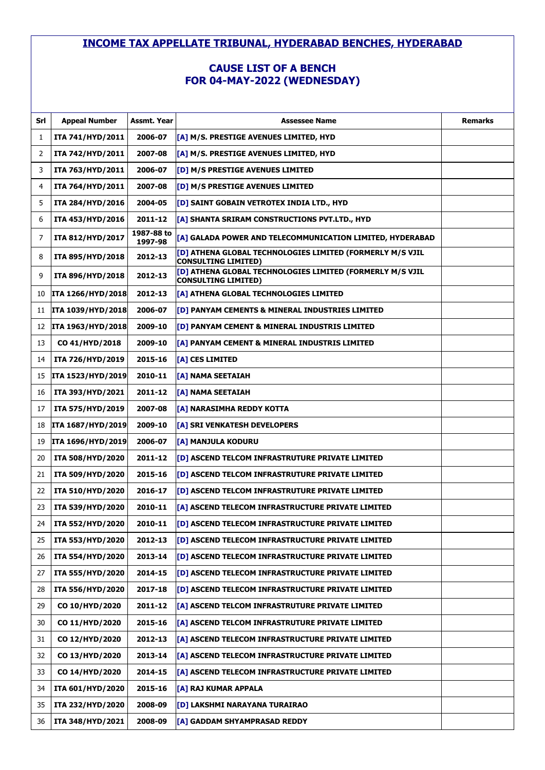# **CAUSE LIST OF A BENCH FOR 04-MAY-2022 (WEDNESDAY)**

| Srl | <b>Appeal Number</b> | Assmt. Year           | <b>Assessee Name</b>                                                                    | <b>Remarks</b> |
|-----|----------------------|-----------------------|-----------------------------------------------------------------------------------------|----------------|
| 1   | ITA 741/HYD/2011     | 2006-07               | [A] M/S. PRESTIGE AVENUES LIMITED, HYD                                                  |                |
| 2   | ITA 742/HYD/2011     | 2007-08               | [A] M/S. PRESTIGE AVENUES LIMITED, HYD                                                  |                |
| 3   | ITA 763/HYD/2011     | 2006-07               | [D] M/S PRESTIGE AVENUES LIMITED                                                        |                |
| 4   | ITA 764/HYD/2011     | 2007-08               | [D] M/S PRESTIGE AVENUES LIMITED                                                        |                |
| 5   | ITA 284/HYD/2016     | 2004-05               | [D] SAINT GOBAIN VETROTEX INDIA LTD., HYD                                               |                |
| 6   | ITA 453/HYD/2016     | 2011-12               | [A] SHANTA SRIRAM CONSTRUCTIONS PVT.LTD., HYD                                           |                |
| 7   | ITA 812/HYD/2017     | 1987-88 to<br>1997-98 | [A] GALADA POWER AND TELECOMMUNICATION LIMITED, HYDERABAD                               |                |
| 8   | ITA 895/HYD/2018     | 2012-13               | [D] ATHENA GLOBAL TECHNOLOGIES LIMITED (FORMERLY M/S VJIL<br><b>CONSULTING LIMITED)</b> |                |
| 9   | ITA 896/HYD/2018     | 2012-13               | [D] ATHENA GLOBAL TECHNOLOGIES LIMITED (FORMERLY M/S VJIL<br><b>CONSULTING LIMITED)</b> |                |
| 10  | ITA 1266/HYD/2018    | 2012-13               | [A] ATHENA GLOBAL TECHNOLOGIES LIMITED                                                  |                |
| 11  | ITA 1039/HYD/2018    | 2006-07               | [D] PANYAM CEMENTS & MINERAL INDUSTRIES LIMITED                                         |                |
| 12  | ITA 1963/HYD/2018    | 2009-10               | [D] PANYAM CEMENT & MINERAL INDUSTRIS LIMITED                                           |                |
| 13  | CO 41/HYD/2018       | 2009-10               | [[A] PANYAM CEMENT & MINERAL INDUSTRIS LIMITED                                          |                |
| 14  | ITA 726/HYD/2019     | 2015-16               | [A] CES LIMITED                                                                         |                |
| 15  | ITA 1523/HYD/2019    | 2010-11               | [A] NAMA SEETAIAH                                                                       |                |
| 16  | ITA 393/HYD/2021     | 2011-12               | [A] NAMA SEETAIAH                                                                       |                |
| 17  | ITA 575/HYD/2019     | 2007-08               | [A] NARASIMHA REDDY KOTTA                                                               |                |
| 18  | ITA 1687/HYD/2019    | 2009-10               | [A] SRI VENKATESH DEVELOPERS                                                            |                |
| 19  | ITA 1696/HYD/2019    | 2006-07               | [A] MANJULA KODURU                                                                      |                |
| 20  | ITA 508/HYD/2020     | 2011-12               | [D] ASCEND TELCOM INFRASTRUTURE PRIVATE LIMITED                                         |                |
| 21  | ITA 509/HYD/2020     | 2015-16               | [D] ASCEND TELCOM INFRASTRUTURE PRIVATE LIMITED                                         |                |
| 22  | ITA 510/HYD/2020     | 2016-17               | [D] ASCEND TELCOM INFRASTRUTURE PRIVATE LIMITED                                         |                |
| 23  | ITA 539/HYD/2020     | 2010-11               | [A] ASCEND TELECOM INFRASTRUCTURE PRIVATE LIMITED                                       |                |
| 24  | ITA 552/HYD/2020     | 2010-11               | <b>DI ASCEND TELECOM INFRASTRUCTURE PRIVATE LIMITED</b>                                 |                |
| 25  | ITA 553/HYD/2020     | 2012-13               | [D] ASCEND TELECOM INFRASTRUCTURE PRIVATE LIMITED                                       |                |
| 26  | ITA 554/HYD/2020     | 2013-14               | [D] ASCEND TELECOM INFRASTRUCTURE PRIVATE LIMITED                                       |                |
| 27  | ITA 555/HYD/2020     | 2014-15               | [D] ASCEND TELECOM INFRASTRUCTURE PRIVATE LIMITED                                       |                |
| 28  | ITA 556/HYD/2020     | 2017-18               | [D] ASCEND TELECOM INFRASTRUCTURE PRIVATE LIMITED                                       |                |
| 29  | CO 10/HYD/2020       | 2011-12               | [A] ASCEND TELCOM INFRASTRUTURE PRIVATE LIMITED                                         |                |
| 30  | CO 11/HYD/2020       | 2015-16               | [A] ASCEND TELCOM INFRASTRUTURE PRIVATE LIMITED                                         |                |
| 31  | CO 12/HYD/2020       | 2012-13               | [A] ASCEND TELECOM INFRASTRUCTURE PRIVATE LIMITED                                       |                |
| 32  | CO 13/HYD/2020       | 2013-14               | [A] ASCEND TELECOM INFRASTRUCTURE PRIVATE LIMITED                                       |                |
| 33  | CO 14/HYD/2020       | 2014-15               | [A] ASCEND TELECOM INFRASTRUCTURE PRIVATE LIMITED                                       |                |
| 34  | ITA 601/HYD/2020     | 2015-16               | [A] RAJ KUMAR APPALA                                                                    |                |
| 35  | ITA 232/HYD/2020     | 2008-09               | [D] LAKSHMI NARAYANA TURAIRAO                                                           |                |
| 36  | ITA 348/HYD/2021     | 2008-09               | [A] GADDAM SHYAMPRASAD REDDY                                                            |                |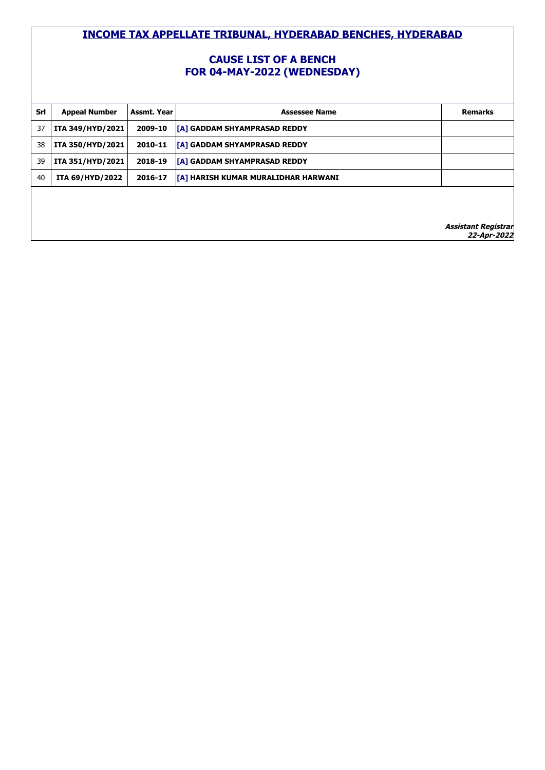### **CAUSE LIST OF A BENCH FOR 04-MAY-2022 (WEDNESDAY)**

| Srl | <b>Appeal Number</b> | Assmt. Year | <b>Assessee Name</b>                       | <b>Remarks</b>             |
|-----|----------------------|-------------|--------------------------------------------|----------------------------|
| 37  | ITA 349/HYD/2021     | 2009-10     | <b>TA1 GADDAM SHYAMPRASAD REDDY</b>        |                            |
| 38  | ITA 350/HYD/2021     | 2010-11     | <b>TA1 GADDAM SHYAMPRASAD REDDY</b>        |                            |
| 39  | ITA 351/HYD/2021     | 2018-19     | [A] GADDAM SHYAMPRASAD REDDY               |                            |
| 40  | ITA 69/HYD/2022      | 2016-17     | <b>[A] HARISH KUMAR MURALIDHAR HARWANI</b> |                            |
|     |                      |             |                                            |                            |
|     |                      |             |                                            |                            |
|     |                      |             |                                            | <b>Accistant Registrar</b> |

**nt Regi 22-Apr-2022**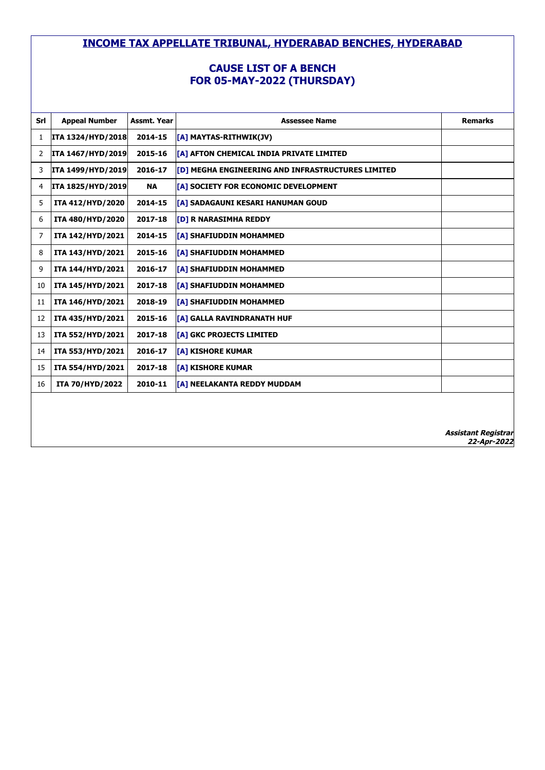# **CAUSE LIST OF A BENCH FOR 05-MAY-2022 (THURSDAY)**

| Srl | <b>Appeal Number</b>     | Assmt. Year | <b>Assessee Name</b>                              | <b>Remarks</b>             |
|-----|--------------------------|-------------|---------------------------------------------------|----------------------------|
| 1   | <b>ITA 1324/HYD/2018</b> | 2014-15     | [[A] MAYTAS-RITHWIK(JV)                           |                            |
| 2   | <b>ITA 1467/HYD/2019</b> | 2015-16     | [A] AFTON CHEMICAL INDIA PRIVATE LIMITED          |                            |
| 3   | ITA 1499/HYD/2019        | 2016-17     | [D] MEGHA ENGINEERING AND INFRASTRUCTURES LIMITED |                            |
| 4   | ITA 1825/HYD/2019        | <b>NA</b>   | [[A] SOCIETY FOR ECONOMIC DEVELOPMENT             |                            |
| 5   | ITA 412/HYD/2020         | 2014-15     | [A] SADAGAUNI KESARI HANUMAN GOUD                 |                            |
| 6   | ITA 480/HYD/2020         | 2017-18     | <b>[D] R NARASIMHA REDDY</b>                      |                            |
| 7   | ITA 142/HYD/2021         | 2014-15     | [A] SHAFIUDDIN MOHAMMED                           |                            |
| 8   | ITA 143/HYD/2021         | 2015-16     | <b>[A] SHAFIUDDIN MOHAMMED</b>                    |                            |
| 9   | ITA 144/HYD/2021         | 2016-17     | <b>[A] SHAFIUDDIN MOHAMMED</b>                    |                            |
| 10  | ITA 145/HYD/2021         | 2017-18     | <b>[A] SHAFIUDDIN MOHAMMED</b>                    |                            |
| 11  | ITA 146/HYD/2021         | 2018-19     | <b>[A] SHAFIUDDIN MOHAMMED</b>                    |                            |
| 12  | ITA 435/HYD/2021         | 2015-16     | <b>[A] GALLA RAVINDRANATH HUF</b>                 |                            |
| 13  | ITA 552/HYD/2021         | 2017-18     | [A] GKC PROJECTS LIMITED                          |                            |
| 14  | ITA 553/HYD/2021         | 2016-17     | <b>TA1 KISHORE KUMAR</b>                          |                            |
| 15  | ITA 554/HYD/2021         | 2017-18     | <b>TA1 KISHORE KUMAR</b>                          |                            |
| 16  | ITA 70/HYD/2022          | 2010-11     | [A] NEELAKANTA REDDY MUDDAM                       |                            |
|     |                          |             |                                                   |                            |
|     |                          |             |                                                   |                            |
|     |                          |             |                                                   | <b>Assistant Registrar</b> |

**22-Apr-2022**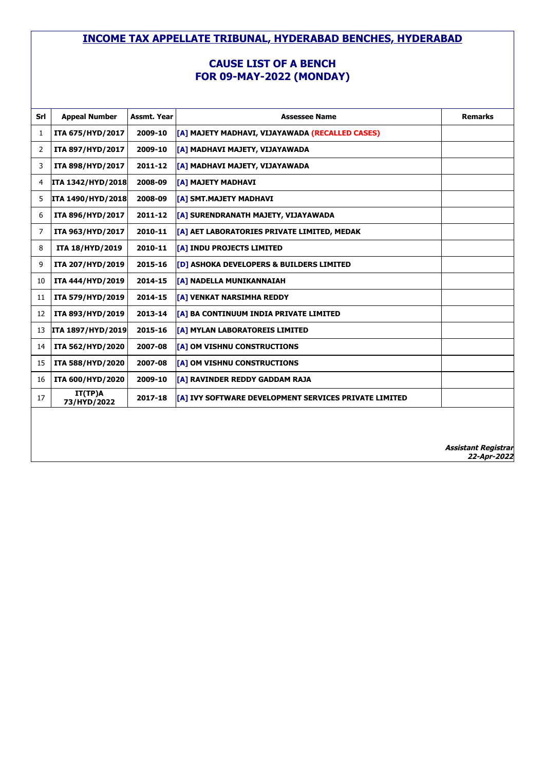#### **CAUSE LIST OF A BENCH FOR 09-MAY-2022 (MONDAY)**

| Srl | <b>Appeal Number</b>     | Assmt. Year | <b>Assessee Name</b>                                  | <b>Remarks</b> |
|-----|--------------------------|-------------|-------------------------------------------------------|----------------|
| 1   | ITA 675/HYD/2017         | 2009-10     | [A] MAJETY MADHAVI, VIJAYAWADA (RECALLED CASES)       |                |
| 2   | ITA 897/HYD/2017         | 2009-10     | [A] MADHAVI MAJETY, VIJAYAWADA                        |                |
| 3   | ITA 898/HYD/2017         | 2011-12     | [A] MADHAVI MAJETY, VIJAYAWADA                        |                |
| 4   | <b>ITA 1342/HYD/2018</b> | 2008-09     | [A] MAJETY MADHAVI                                    |                |
| 5   | <b>ITA 1490/HYD/2018</b> | 2008-09     | [A] SMT.MAJETY MADHAVI                                |                |
| 6   | ITA 896/HYD/2017         | 2011-12     | [A] SURENDRANATH MAJETY, VIJAYAWADA                   |                |
| 7   | ITA 963/HYD/2017         | 2010-11     | [A] AET LABORATORIES PRIVATE LIMITED, MEDAK           |                |
| 8   | ITA 18/HYD/2019          | 2010-11     | [A] INDU PROJECTS LIMITED                             |                |
| 9   | ITA 207/HYD/2019         | 2015-16     | [D] ASHOKA DEVELOPERS & BUILDERS LIMITED              |                |
| 10  | ITA 444/HYD/2019         | 2014-15     | [A] NADELLA MUNIKANNAIAH                              |                |
| 11  | ITA 579/HYD/2019         | 2014-15     | [A] VENKAT NARSIMHA REDDY                             |                |
| 12  | ITA 893/HYD/2019         | 2013-14     | <b>TA1 BA CONTINUUM INDIA PRIVATE LIMITED</b>         |                |
| 13  | ITA 1897/HYD/2019        | 2015-16     | [A] MYLAN LABORATOREIS LIMITED                        |                |
| 14  | ITA 562/HYD/2020         | 2007-08     | [A] OM VISHNU CONSTRUCTIONS                           |                |
| 15  | ITA 588/HYD/2020         | 2007-08     | [A] OM VISHNU CONSTRUCTIONS                           |                |
| 16  | ITA 600/HYD/2020         | 2009-10     | [A] RAVINDER REDDY GADDAM RAJA                        |                |
| 17  | IT(TP)A<br>73/HYD/2022   | 2017-18     | [A] IVY SOFTWARE DEVELOPMENT SERVICES PRIVATE LIMITED |                |
|     |                          |             |                                                       |                |
|     |                          |             |                                                       |                |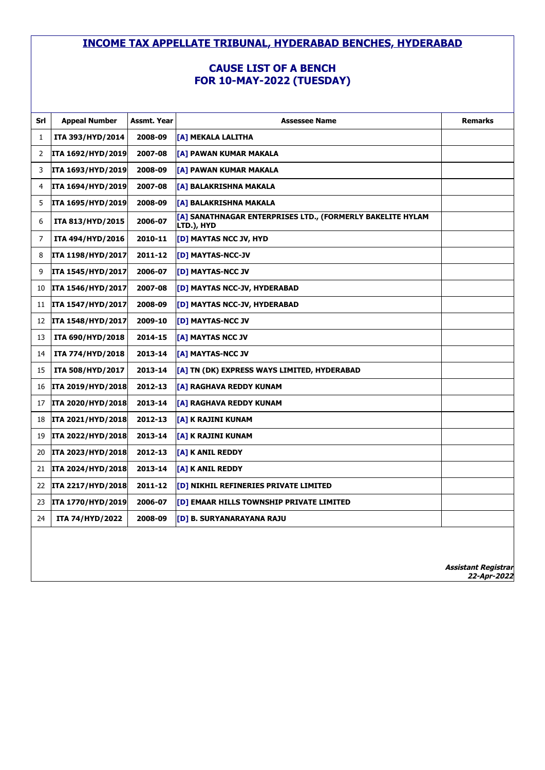# **CAUSE LIST OF A BENCH FOR 10-MAY-2022 (TUESDAY)**

| Srl          | <b>Appeal Number</b>     | Assmt. Year | <b>Assessee Name</b>                                                      | <b>Remarks</b> |
|--------------|--------------------------|-------------|---------------------------------------------------------------------------|----------------|
| $\mathbf{1}$ | ITA 393/HYD/2014         | 2008-09     | [A] MEKALA LALITHA                                                        |                |
| 2            | <b>ITA 1692/HYD/2019</b> | 2007-08     | [A] PAWAN KUMAR MAKALA                                                    |                |
| 3            | <b>ITA 1693/HYD/2019</b> | 2008-09     | [A] PAWAN KUMAR MAKALA                                                    |                |
| 4            | <b>ITA 1694/HYD/2019</b> | 2007-08     | [A] BALAKRISHNA MAKALA                                                    |                |
| 5            | <b>ITA 1695/HYD/2019</b> | 2008-09     | [A] BALAKRISHNA MAKALA                                                    |                |
| 6            | ITA 813/HYD/2015         | 2006-07     | [A] SANATHNAGAR ENTERPRISES LTD., (FORMERLY BAKELITE HYLAM<br> LTD.), HYD |                |
| 7            | ITA 494/HYD/2016         | 2010-11     | [D] MAYTAS NCC JV, HYD                                                    |                |
| 8            | <b>ITA 1198/HYD/2017</b> | 2011-12     | [D] MAYTAS-NCC-JV                                                         |                |
| 9            | <b>ITA 1545/HYD/2017</b> | 2006-07     | [D] MAYTAS-NCC JV                                                         |                |
| 10           | ITA 1546/HYD/2017        | 2007-08     | [D] MAYTAS NCC-JV, HYDERABAD                                              |                |
| 11           | <b>ITA 1547/HYD/2017</b> | 2008-09     | [D] MAYTAS NCC-JV, HYDERABAD                                              |                |
| 12           | ITA 1548/HYD/2017        | 2009-10     | [D] MAYTAS-NCC JV                                                         |                |
| 13           | ITA 690/HYD/2018         | 2014-15     | [A] MAYTAS NCC JV                                                         |                |
| 14           | ITA 774/HYD/2018         | 2013-14     | <b>[A] MAYTAS-NCC JV</b>                                                  |                |
| 15           | ITA 508/HYD/2017         | 2013-14     | [A] TN (DK) EXPRESS WAYS LIMITED, HYDERABAD                               |                |
| 16           | <b>ITA 2019/HYD/2018</b> | 2012-13     | [A] RAGHAVA REDDY KUNAM                                                   |                |
| 17           | <b>ITA 2020/HYD/2018</b> | 2013-14     | [A] RAGHAVA REDDY KUNAM                                                   |                |
| 18           | <b>ITA 2021/HYD/2018</b> | 2012-13     | [A] K RAJINI KUNAM                                                        |                |
| 19           | <b>ITA 2022/HYD/2018</b> | 2013-14     | [A] K RAJINI KUNAM                                                        |                |
| 20           | <b>ITA 2023/HYD/2018</b> | 2012-13     | [A] K ANIL REDDY                                                          |                |
| 21           | <b>ITA 2024/HYD/2018</b> | 2013-14     | [A] K ANIL REDDY                                                          |                |
| 22           | <b>ITA 2217/HYD/2018</b> | 2011-12     | [D] NIKHIL REFINERIES PRIVATE LIMITED                                     |                |
| 23           | <b>ITA 1770/HYD/2019</b> | 2006-07     | [D] EMAAR HILLS TOWNSHIP PRIVATE LIMITED                                  |                |
| 24           | <b>ITA 74/HYD/2022</b>   | 2008-09     | [D] B. SURYANARAYANA RAJU                                                 |                |
|              |                          |             |                                                                           |                |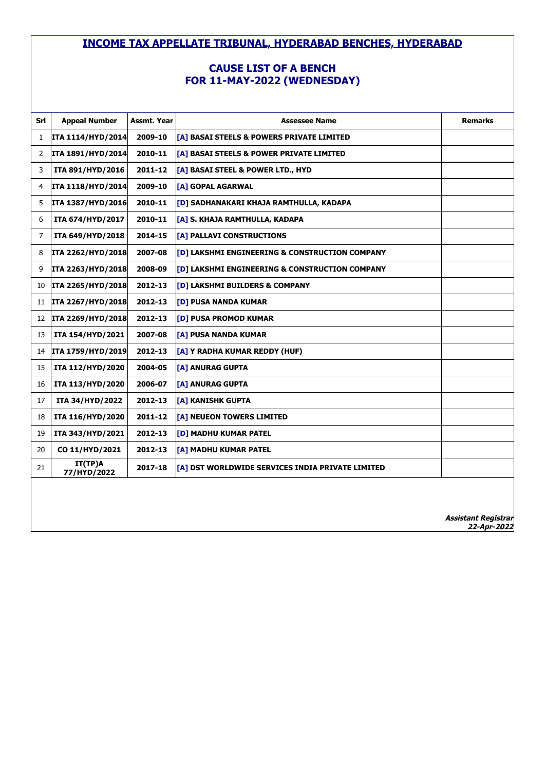# **CAUSE LIST OF A BENCH FOR 11-MAY-2022 (WEDNESDAY)**

| Srl | <b>Appeal Number</b>     | Assmt. Year | <b>Assessee Name</b>                                   | <b>Remarks</b>                            |
|-----|--------------------------|-------------|--------------------------------------------------------|-------------------------------------------|
| 1   | ITA 1114/HYD/2014        | 2009-10     | [A] BASAI STEELS & POWERS PRIVATE LIMITED              |                                           |
| 2   | ITA 1891/HYD/2014        | 2010-11     | [A] BASAI STEELS & POWER PRIVATE LIMITED               |                                           |
| 3   | ITA 891/HYD/2016         | 2011-12     | [A] BASAI STEEL & POWER LTD., HYD                      |                                           |
| 4   | ITA 1118/HYD/2014        | 2009-10     | [A] GOPAL AGARWAL                                      |                                           |
| 5   | <b>ITA 1387/HYD/2016</b> | 2010-11     | [ <mark>[D]</mark> SADHANAKARI KHAJA RAMTHULLA, KADAPA |                                           |
| 6   | ITA 674/HYD/2017         | 2010-11     | [A] S. KHAJA RAMTHULLA, KADAPA                         |                                           |
| 7   | ITA 649/HYD/2018         | 2014-15     | [A] PALLAVI CONSTRUCTIONS                              |                                           |
| 8   | ITA 2262/HYD/2018        | 2007-08     | [D] LAKSHMI ENGINEERING & CONSTRUCTION COMPANY         |                                           |
| 9   | ITA 2263/HYD/2018        | 2008-09     | [D] LAKSHMI ENGINEERING & CONSTRUCTION COMPANY         |                                           |
| 10  | <b>ITA 2265/HYD/2018</b> | 2012-13     | [D] LAKSHMI BUILDERS & COMPANY                         |                                           |
| 11  | ITA 2267/HYD/2018        | 2012-13     | <b>[D] PUSA NANDA KUMAR</b>                            |                                           |
| 12  | ITA 2269/HYD/2018        | 2012-13     | [D] PUSA PROMOD KUMAR                                  |                                           |
| 13  | ITA 154/HYD/2021         | 2007-08     | <b>[A] PUSA NANDA KUMAR</b>                            |                                           |
| 14  | ITA 1759/HYD/2019        | 2012-13     | [A] Y RADHA KUMAR REDDY (HUF)                          |                                           |
| 15  | ITA 112/HYD/2020         | 2004-05     | [A] ANURAG GUPTA                                       |                                           |
| 16  | ITA 113/HYD/2020         | 2006-07     | [A] ANURAG GUPTA                                       |                                           |
| 17  | ITA 34/HYD/2022          | 2012-13     | [A] KANISHK GUPTA                                      |                                           |
| 18  | ITA 116/HYD/2020         | 2011-12     | [A] NEUEON TOWERS LIMITED                              |                                           |
| 19  | ITA 343/HYD/2021         | 2012-13     | [D] MADHU KUMAR PATEL                                  |                                           |
| 20  | CO 11/HYD/2021           | 2012-13     | [A] MADHU KUMAR PATEL                                  |                                           |
| 21  | IT(TP)A<br>77/HYD/2022   | 2017-18     | [A] DST WORLDWIDE SERVICES INDIA PRIVATE LIMITED       |                                           |
|     |                          |             |                                                        |                                           |
|     |                          |             |                                                        |                                           |
|     |                          |             |                                                        | <b>Assistant Registrar</b><br>22-Apr-2022 |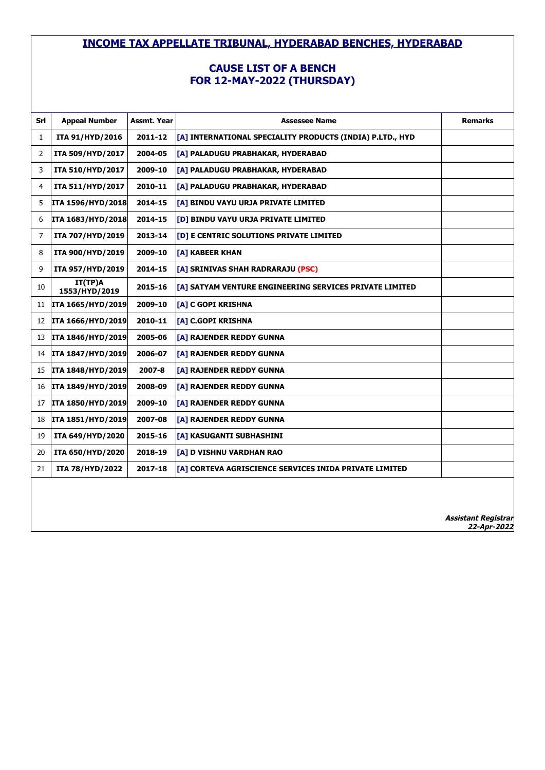# **CAUSE LIST OF A BENCH FOR 12-MAY-2022 (THURSDAY)**

| Srl            | <b>Appeal Number</b>     | Assmt. Year | <b>Assessee Name</b>                                      | <b>Remarks</b>             |
|----------------|--------------------------|-------------|-----------------------------------------------------------|----------------------------|
| 1              | ITA 91/HYD/2016          | 2011-12     | [A] INTERNATIONAL SPECIALITY PRODUCTS (INDIA) P.LTD., HYD |                            |
| 2              | ITA 509/HYD/2017         | 2004-05     | [A] PALADUGU PRABHAKAR, HYDERABAD                         |                            |
| 3              | ITA 510/HYD/2017         | 2009-10     | [A] PALADUGU PRABHAKAR, HYDERABAD                         |                            |
| 4              | ITA 511/HYD/2017         | 2010-11     | [A] PALADUGU PRABHAKAR, HYDERABAD                         |                            |
| 5              | ITA 1596/HYD/2018        | 2014-15     | [A] BINDU VAYU URJA PRIVATE LIMITED                       |                            |
| 6              | ITA 1683/HYD/2018        | 2014-15     | [D] BINDU VAYU URJA PRIVATE LIMITED                       |                            |
| $\overline{7}$ | ITA 707/HYD/2019         | 2013-14     | [D] E CENTRIC SOLUTIONS PRIVATE LIMITED                   |                            |
| 8              | ITA 900/HYD/2019         | 2009-10     | [A] KABEER KHAN                                           |                            |
| 9              | ITA 957/HYD/2019         | 2014-15     | [A] SRINIVAS SHAH RADRARAJU (PSC)                         |                            |
| 10             | IT(TP)A<br>1553/HYD/2019 | 2015-16     | [A] SATYAM VENTURE ENGINEERING SERVICES PRIVATE LIMITED   |                            |
| 11             | ITA 1665/HYD/2019        | 2009-10     | [A] C GOPI KRISHNA                                        |                            |
| 12             | <b>ITA 1666/HYD/2019</b> | 2010-11     | [A] C.GOPI KRISHNA                                        |                            |
| 13             | ITA 1846/HYD/2019        | 2005-06     | [A] RAJENDER REDDY GUNNA                                  |                            |
| 14             | ITA 1847/HYD/2019        | 2006-07     | [A] RAJENDER REDDY GUNNA                                  |                            |
| 15             | <b>ITA 1848/HYD/2019</b> | 2007-8      | [A] RAJENDER REDDY GUNNA                                  |                            |
| 16             | ITA 1849/HYD/2019        | 2008-09     | [A] RAJENDER REDDY GUNNA                                  |                            |
| 17             | ITA 1850/HYD/2019        | 2009-10     | [A] RAJENDER REDDY GUNNA                                  |                            |
| 18             | ITA 1851/HYD/2019        | 2007-08     | [A] RAJENDER REDDY GUNNA                                  |                            |
| 19             | ITA 649/HYD/2020         | 2015-16     | [A] KASUGANTI SUBHASHINI                                  |                            |
| 20             | ITA 650/HYD/2020         | 2018-19     | [A] D VISHNU VARDHAN RAO                                  |                            |
| 21             | ITA 78/HYD/2022          | 2017-18     | [A] CORTEVA AGRISCIENCE SERVICES INIDA PRIVATE LIMITED    |                            |
|                |                          |             |                                                           |                            |
|                |                          |             |                                                           |                            |
|                |                          |             |                                                           | <b>Assistant Registrar</b> |

**22-Apr-2022**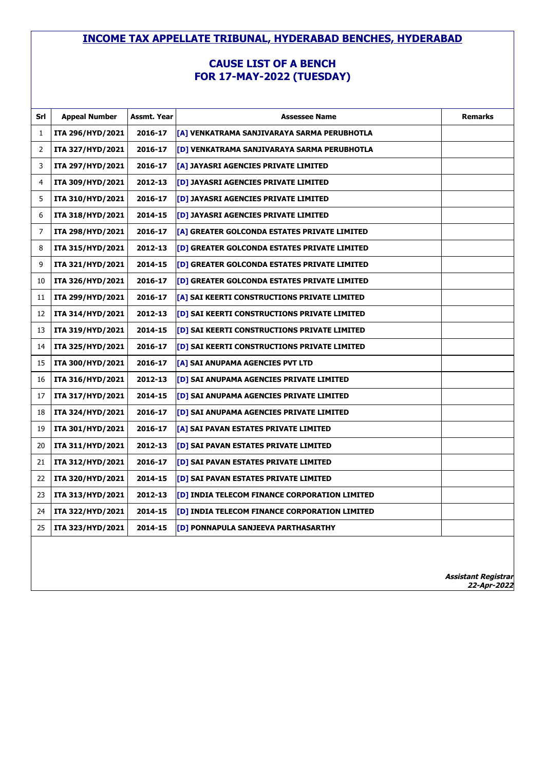#### **CAUSE LIST OF A BENCH FOR 17-MAY-2022 (TUESDAY)**

| Srl          | <b>Appeal Number</b> | Assmt. Year | <b>Assessee Name</b>                          | <b>Remarks</b> |
|--------------|----------------------|-------------|-----------------------------------------------|----------------|
| $\mathbf{1}$ | ITA 296/HYD/2021     | 2016-17     | [A] VENKATRAMA SANJIVARAYA SARMA PERUBHOTLA   |                |
| 2            | ITA 327/HYD/2021     | 2016-17     | [D] VENKATRAMA SANJIVARAYA SARMA PERUBHOTLA   |                |
| 3            | ITA 297/HYD/2021     | 2016-17     | [A] JAYASRI AGENCIES PRIVATE LIMITED          |                |
| 4            | ITA 309/HYD/2021     | 2012-13     | [D] JAYASRI AGENCIES PRIVATE LIMITED          |                |
| 5            | ITA 310/HYD/2021     | 2016-17     | [D] JAYASRI AGENCIES PRIVATE LIMITED          |                |
| 6            | ITA 318/HYD/2021     | 2014-15     | [D] JAYASRI AGENCIES PRIVATE LIMITED          |                |
| 7            | ITA 298/HYD/2021     | 2016-17     | [A] GREATER GOLCONDA ESTATES PRIVATE LIMITED  |                |
| 8            | ITA 315/HYD/2021     | 2012-13     | [D] GREATER GOLCONDA ESTATES PRIVATE LIMITED  |                |
| 9            | ITA 321/HYD/2021     | 2014-15     | [D] GREATER GOLCONDA ESTATES PRIVATE LIMITED  |                |
| 10           | ITA 326/HYD/2021     | 2016-17     | [D] GREATER GOLCONDA ESTATES PRIVATE LIMITED  |                |
| 11           | ITA 299/HYD/2021     | 2016-17     | [A] SAI KEERTI CONSTRUCTIONS PRIVATE LIMITED  |                |
| 12           | ITA 314/HYD/2021     | 2012-13     | [D] SAI KEERTI CONSTRUCTIONS PRIVATE LIMITED  |                |
| 13           | ITA 319/HYD/2021     | 2014-15     | [D] SAI KEERTI CONSTRUCTIONS PRIVATE LIMITED  |                |
| 14           | ITA 325/HYD/2021     | 2016-17     | [D] SAI KEERTI CONSTRUCTIONS PRIVATE LIMITED  |                |
| 15           | ITA 300/HYD/2021     | 2016-17     | [A] SAI ANUPAMA AGENCIES PVT LTD              |                |
| 16           | ITA 316/HYD/2021     | 2012-13     | [D] SAI ANUPAMA AGENCIES PRIVATE LIMITED      |                |
| 17           | ITA 317/HYD/2021     | 2014-15     | [D] SAI ANUPAMA AGENCIES PRIVATE LIMITED      |                |
| 18           | ITA 324/HYD/2021     | 2016-17     | [D] SAI ANUPAMA AGENCIES PRIVATE LIMITED      |                |
| 19           | ITA 301/HYD/2021     | 2016-17     | [A] SAI PAVAN ESTATES PRIVATE LIMITED         |                |
| 20           | ITA 311/HYD/2021     | 2012-13     | [D] SAI PAVAN ESTATES PRIVATE LIMITED         |                |
| 21           | ITA 312/HYD/2021     | 2016-17     | [D] SAI PAVAN ESTATES PRIVATE LIMITED         |                |
| 22           | ITA 320/HYD/2021     | 2014-15     | [D] SAI PAVAN ESTATES PRIVATE LIMITED         |                |
| 23           | ITA 313/HYD/2021     | 2012-13     | [D] INDIA TELECOM FINANCE CORPORATION LIMITED |                |
| 24           | ITA 322/HYD/2021     | 2014-15     | [D] INDIA TELECOM FINANCE CORPORATION LIMITED |                |
| 25           | ITA 323/HYD/2021     | 2014-15     | [D] PONNAPULA SANJEEVA PARTHASARTHY           |                |
|              |                      |             |                                               |                |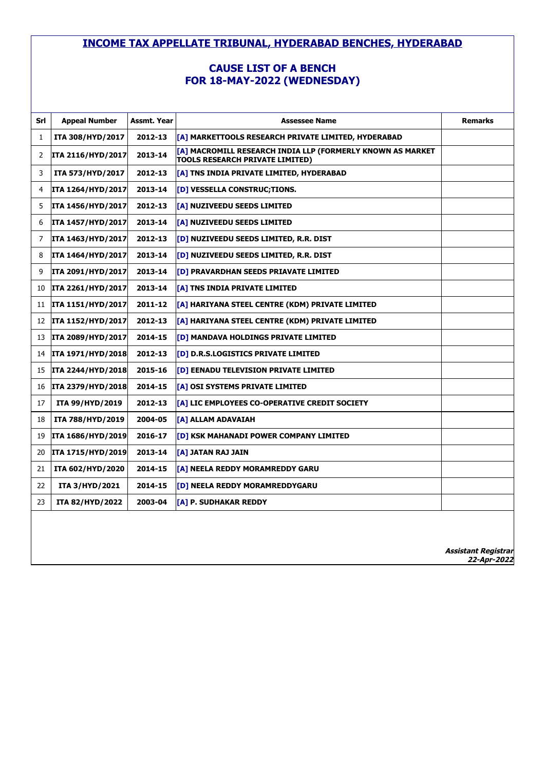# **CAUSE LIST OF A BENCH FOR 18-MAY-2022 (WEDNESDAY)**

| Srl | <b>Appeal Number</b>     | Assmt. Year | <b>Assessee Name</b>                                                                                 | <b>Remarks</b> |
|-----|--------------------------|-------------|------------------------------------------------------------------------------------------------------|----------------|
| 1   | ITA 308/HYD/2017         | 2012-13     | [[A] MARKETTOOLS RESEARCH PRIVATE LIMITED, HYDERABAD                                                 |                |
| 2   | <b>ITA 2116/HYD/2017</b> | 2013-14     | [A] MACROMILL RESEARCH INDIA LLP (FORMERLY KNOWN AS MARKET<br><b>TOOLS RESEARCH PRIVATE LIMITED)</b> |                |
| 3   | ITA 573/HYD/2017         | 2012-13     | [A] TNS INDIA PRIVATE LIMITED, HYDERABAD                                                             |                |
| 4   | ITA 1264/HYD/2017        | 2013-14     | [D] VESSELLA CONSTRUC; TIONS.                                                                        |                |
| 5   | ITA 1456/HYD/2017        | 2012-13     | [A] NUZIVEEDU SEEDS LIMITED                                                                          |                |
| 6   | ITA 1457/HYD/2017        | 2013-14     | [A] NUZIVEEDU SEEDS LIMITED                                                                          |                |
| 7   | ITA 1463/HYD/2017        | 2012-13     | [D] NUZIVEEDU SEEDS LIMITED, R.R. DIST                                                               |                |
| 8   | ITA 1464/HYD/2017        | 2013-14     | [D] NUZIVEEDU SEEDS LIMITED, R.R. DIST                                                               |                |
| 9   | ITA 2091/HYD/2017        | 2013-14     | [D] PRAVARDHAN SEEDS PRIAVATE LIMITED                                                                |                |
| 10  | ITA 2261/HYD/2017        | 2013-14     | <b>[A] TNS INDIA PRIVATE LIMITED</b>                                                                 |                |
| 11  | <b>ITA 1151/HYD/2017</b> | 2011-12     | [A] HARIYANA STEEL CENTRE (KDM) PRIVATE LIMITED                                                      |                |
| 12  | <b>ITA 1152/HYD/2017</b> | 2012-13     | [A] HARIYANA STEEL CENTRE (KDM) PRIVATE LIMITED                                                      |                |
| 13  | <b>ITA 2089/HYD/2017</b> | 2014-15     | [D] MANDAVA HOLDINGS PRIVATE LIMITED                                                                 |                |
| 14  | <b>ITA 1971/HYD/2018</b> | 2012-13     | <b>[D] D.R.S.LOGISTICS PRIVATE LIMITED</b>                                                           |                |
| 15  | ITA 2244/HYD/2018        | 2015-16     | [D] EENADU TELEVISION PRIVATE LIMITED                                                                |                |
| 16  | <b>ITA 2379/HYD/2018</b> | 2014-15     | [A] OSI SYSTEMS PRIVATE LIMITED                                                                      |                |
| 17  | ITA 99/HYD/2019          | 2012-13     | [A] LIC EMPLOYEES CO-OPERATIVE CREDIT SOCIETY                                                        |                |
| 18  | ITA 788/HYD/2019         | 2004-05     | [A] ALLAM ADAVAIAH                                                                                   |                |
| 19  | ITA 1686/HYD/2019        | 2016-17     | [D] KSK MAHANADI POWER COMPANY LIMITED                                                               |                |
| 20  | ITA 1715/HYD/2019        | 2013-14     | [A] JATAN RAJ JAIN                                                                                   |                |
| 21  | ITA 602/HYD/2020         | 2014-15     | [A] NEELA REDDY MORAMREDDY GARU                                                                      |                |
| 22  | <b>ITA 3/HYD/2021</b>    | 2014-15     | <b>[D] NEELA REDDY MORAMREDDYGARU</b>                                                                |                |
| 23  | ITA 82/HYD/2022          | 2003-04     | [A] P. SUDHAKAR REDDY                                                                                |                |
|     |                          |             |                                                                                                      |                |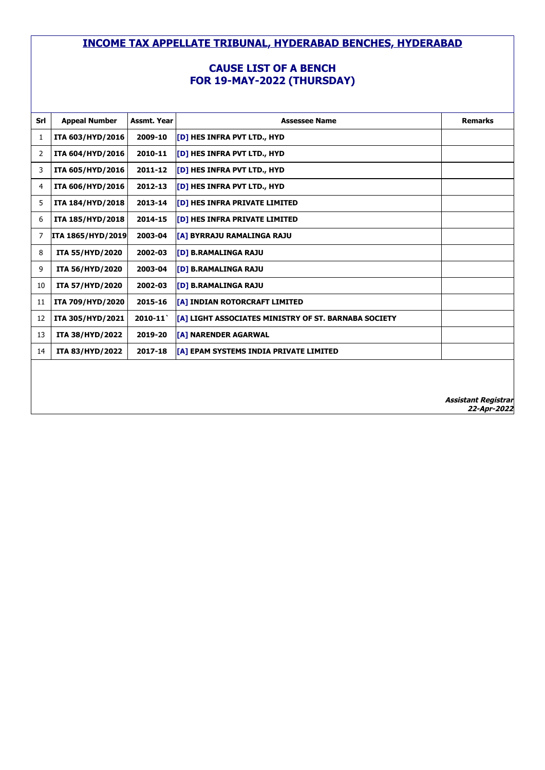# **CAUSE LIST OF A BENCH FOR 19-MAY-2022 (THURSDAY)**

| Srl | <b>Appeal Number</b>     | Assmt. Year | <b>Assessee Name</b>                                 | <b>Remarks</b> |
|-----|--------------------------|-------------|------------------------------------------------------|----------------|
| 1   | ITA 603/HYD/2016         | 2009-10     | [D] HES INFRA PVT LTD., HYD                          |                |
| 2   | ITA 604/HYD/2016         | 2010-11     | [D] HES INFRA PVT LTD., HYD                          |                |
| 3   | ITA 605/HYD/2016         | 2011-12     | [D] HES INFRA PVT LTD., HYD                          |                |
| 4   | ITA 606/HYD/2016         | 2012-13     | [D] HES INFRA PVT LTD., HYD                          |                |
| 5   | ITA 184/HYD/2018         | 2013-14     | <b>[D] HES INFRA PRIVATE LIMITED</b>                 |                |
| 6   | ITA 185/HYD/2018         | 2014-15     | <b>TDI HES INFRA PRIVATE LIMITED</b>                 |                |
| 7   | <b>ITA 1865/HYD/2019</b> | 2003-04     | <b>[A] BYRRAJU RAMALINGA RAJU</b>                    |                |
| 8   | <b>ITA 55/HYD/2020</b>   | 2002-03     | <b>[D] B.RAMALINGA RAJU</b>                          |                |
| 9   | <b>ITA 56/HYD/2020</b>   | 2003-04     | <b>[D] B.RAMALINGA RAJU</b>                          |                |
| 10  | <b>ITA 57/HYD/2020</b>   | 2002-03     | <b>[D] B.RAMALINGA RAJU</b>                          |                |
| 11  | ITA 709/HYD/2020         | 2015-16     | [[A] INDIAN ROTORCRAFT LIMITED                       |                |
| 12  | ITA 305/HYD/2021         | $2010 - 11$ | [A] LIGHT ASSOCIATES MINISTRY OF ST. BARNABA SOCIETY |                |
| 13  | <b>ITA 38/HYD/2022</b>   | 2019-20     | <b>[A] NARENDER AGARWAL</b>                          |                |
| 14  | <b>ITA 83/HYD/2022</b>   | 2017-18     | [[A] EPAM SYSTEMS INDIA PRIVATE LIMITED              |                |
|     |                          |             |                                                      |                |
|     |                          |             |                                                      |                |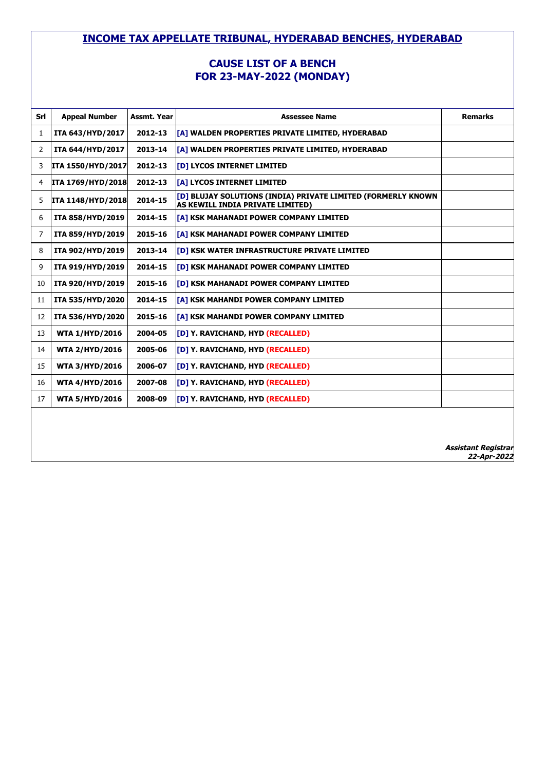#### **CAUSE LIST OF A BENCH FOR 23-MAY-2022 (MONDAY)**

| Srl | <b>Appeal Number</b>     | <b>Assmt. Year</b> | <b>Assessee Name</b>                                                                             | <b>Remarks</b>             |
|-----|--------------------------|--------------------|--------------------------------------------------------------------------------------------------|----------------------------|
| 1   | ITA 643/HYD/2017         | 2012-13            | [A] WALDEN PROPERTIES PRIVATE LIMITED, HYDERABAD                                                 |                            |
| 2   | ITA 644/HYD/2017         | 2013-14            | [A] WALDEN PROPERTIES PRIVATE LIMITED, HYDERABAD                                                 |                            |
| 3   | ITA 1550/HYD/2017        | 2012-13            | [D] LYCOS INTERNET LIMITED                                                                       |                            |
| 4   | <b>ITA 1769/HYD/2018</b> | 2012-13            | [A] LYCOS INTERNET LIMITED                                                                       |                            |
| 5   | ITA 1148/HYD/2018        | 2014-15            | [D] BLUJAY SOLUTIONS (INDIA) PRIVATE LIMITED (FORMERLY KNOWN<br>AS KEWILL INDIA PRIVATE LIMITED) |                            |
| 6   | ITA 858/HYD/2019         | 2014-15            | [A] KSK MAHANADI POWER COMPANY LIMITED                                                           |                            |
| 7   | ITA 859/HYD/2019         | 2015-16            | [A] KSK MAHANADI POWER COMPANY LIMITED                                                           |                            |
| 8   | ITA 902/HYD/2019         | 2013-14            | [D] KSK WATER INFRASTRUCTURE PRIVATE LIMITED                                                     |                            |
| 9   | ITA 919/HYD/2019         | 2014-15            | <b>[D] KSK MAHANADI POWER COMPANY LIMITED</b>                                                    |                            |
| 10  | ITA 920/HYD/2019         | 2015-16            | [D] KSK MAHANADI POWER COMPANY LIMITED                                                           |                            |
| 11  | ITA 535/HYD/2020         | 2014-15            | [A] KSK MAHANDI POWER COMPANY LIMITED                                                            |                            |
| 12  | ITA 536/HYD/2020         | 2015-16            | [A] KSK MAHANDI POWER COMPANY LIMITED                                                            |                            |
| 13  | <b>WTA 1/HYD/2016</b>    | 2004-05            | [D] Y. RAVICHAND, HYD (RECALLED)                                                                 |                            |
| 14  | <b>WTA 2/HYD/2016</b>    | 2005-06            | [D] Y. RAVICHAND, HYD (RECALLED)                                                                 |                            |
| 15  | <b>WTA 3/HYD/2016</b>    | 2006-07            | [D] Y. RAVICHAND, HYD (RECALLED)                                                                 |                            |
| 16  | <b>WTA 4/HYD/2016</b>    | 2007-08            | [D] Y. RAVICHAND, HYD (RECALLED)                                                                 |                            |
| 17  | <b>WTA 5/HYD/2016</b>    | 2008-09            | [D] Y. RAVICHAND, HYD (RECALLED)                                                                 |                            |
|     |                          |                    |                                                                                                  |                            |
|     |                          |                    |                                                                                                  |                            |
|     |                          |                    |                                                                                                  | <b>Assistant Registrar</b> |

**22-Apr-2022**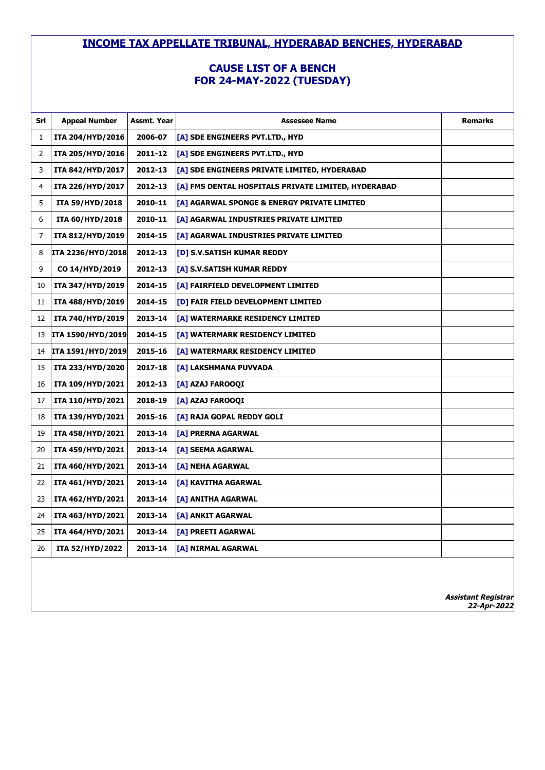### **CAUSE LIST OF A BENCH FOR 24-MAY-2022 (TUESDAY)**

| Srl | <b>Appeal Number</b> | Assmt. Year | <b>Assessee Name</b>                                | <b>Remarks</b> |
|-----|----------------------|-------------|-----------------------------------------------------|----------------|
| 1   | ITA 204/HYD/2016     | 2006-07     | [A] SDE ENGINEERS PVT.LTD., HYD                     |                |
| 2   | ITA 205/HYD/2016     | 2011-12     | [A] SDE ENGINEERS PVT.LTD., HYD                     |                |
| 3   | ITA 842/HYD/2017     | 2012-13     | [A] SDE ENGINEERS PRIVATE LIMITED, HYDERABAD        |                |
| 4   | ITA 226/HYD/2017     | 2012-13     | [A] FMS DENTAL HOSPITALS PRIVATE LIMITED, HYDERABAD |                |
| 5   | ITA 59/HYD/2018      | 2010-11     | [A] AGARWAL SPONGE & ENERGY PRIVATE LIMITED         |                |
| 6   | ITA 60/HYD/2018      | 2010-11     | [A] AGARWAL INDUSTRIES PRIVATE LIMITED              |                |
| 7   | ITA 812/HYD/2019     | 2014-15     | [A] AGARWAL INDUSTRIES PRIVATE LIMITED              |                |
| 8   | ITA 2236/HYD/2018    | 2012-13     | [D] S.V.SATISH KUMAR REDDY                          |                |
| 9   | CO 14/HYD/2019       | 2012-13     | [A] S.V.SATISH KUMAR REDDY                          |                |
| 10  | ITA 347/HYD/2019     | 2014-15     | [A] FAIRFIELD DEVELOPMENT LIMITED                   |                |
| 11  | ITA 488/HYD/2019     | 2014-15     | [D] FAIR FIELD DEVELOPMENT LIMITED                  |                |
| 12  | ITA 740/HYD/2019     | 2013-14     | [A] WATERMARKE RESIDENCY LIMITED                    |                |
| 13  | ITA 1590/HYD/2019    | 2014-15     | [A] WATERMARK RESIDENCY LIMITED                     |                |
| 14  | ITA 1591/HYD/2019    | 2015-16     | [A] WATERMARK RESIDENCY LIMITED                     |                |
| 15  | ITA 233/HYD/2020     | 2017-18     | [A] LAKSHMANA PUVVADA                               |                |
| 16  | ITA 109/HYD/2021     | 2012-13     | [A] AZAJ FAROOQI                                    |                |
| 17  | ITA 110/HYD/2021     | 2018-19     | [A] AZAJ FAROOQI                                    |                |
| 18  | ITA 139/HYD/2021     | 2015-16     | [A] RAJA GOPAL REDDY GOLI                           |                |
| 19  | ITA 458/HYD/2021     | 2013-14     | [A] PRERNA AGARWAL                                  |                |
| 20  | ITA 459/HYD/2021     | 2013-14     | [A] SEEMA AGARWAL                                   |                |
| 21  | ITA 460/HYD/2021     | 2013-14     | [A] NEHA AGARWAL                                    |                |
| 22  | ITA 461/HYD/2021     | 2013-14     | [A] KAVITHA AGARWAL                                 |                |
| 23  | ITA 462/HYD/2021     | 2013-14     | [A] ANITHA AGARWAL                                  |                |
| 24  | ITA 463/HYD/2021     | 2013-14     | [A] ANKIT AGARWAL                                   |                |
| 25  | ITA 464/HYD/2021     | 2013-14     | [A] PREETI AGARWAL                                  |                |
| 26  | ITA 52/HYD/2022      | 2013-14     | [A] NIRMAL AGARWAL                                  |                |
|     |                      |             |                                                     |                |
|     |                      |             |                                                     |                |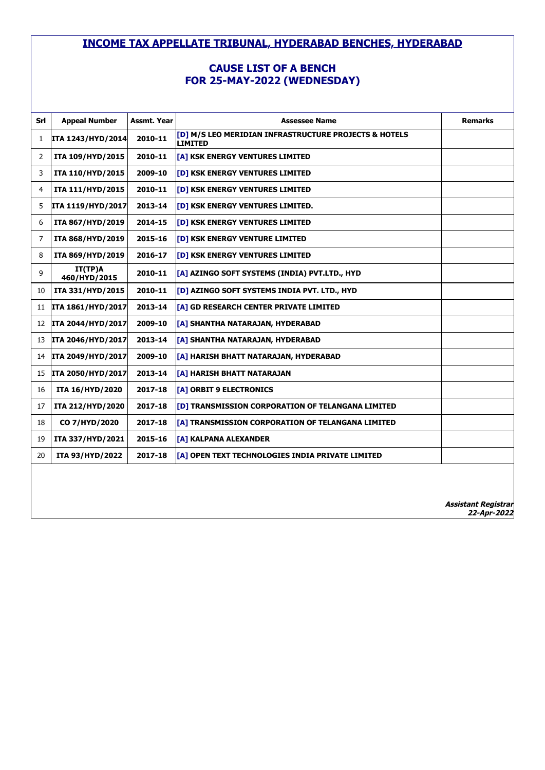# **CAUSE LIST OF A BENCH FOR 25-MAY-2022 (WEDNESDAY)**

| Srl | <b>Appeal Number</b>     | Assmt. Year | <b>Assessee Name</b>                                                    | <b>Remarks</b>             |
|-----|--------------------------|-------------|-------------------------------------------------------------------------|----------------------------|
| 1   | ITA 1243/HYD/2014        | 2010-11     | [D] M/S LEO MERIDIAN INFRASTRUCTURE PROJECTS & HOTELS<br><b>LIMITED</b> |                            |
| 2   | ITA 109/HYD/2015         | 2010-11     | [A] KSK ENERGY VENTURES LIMITED                                         |                            |
| 3   | ITA 110/HYD/2015         | 2009-10     | [D] KSK ENERGY VENTURES LIMITED                                         |                            |
| 4   | ITA 111/HYD/2015         | 2010-11     | [D] KSK ENERGY VENTURES LIMITED                                         |                            |
| 5   | ITA 1119/HYD/2017        | 2013-14     | <b>[D] KSK ENERGY VENTURES LIMITED.</b>                                 |                            |
| 6   | ITA 867/HYD/2019         | 2014-15     | [D] KSK ENERGY VENTURES LIMITED                                         |                            |
| 7   | ITA 868/HYD/2019         | 2015-16     | [D] KSK ENERGY VENTURE LIMITED                                          |                            |
| 8   | ITA 869/HYD/2019         | 2016-17     | [D] KSK ENERGY VENTURES LIMITED                                         |                            |
| 9   | IT(TP)A<br>460/HYD/2015  | 2010-11     | [A] AZINGO SOFT SYSTEMS (INDIA) PVT.LTD., HYD                           |                            |
| 10  | ITA 331/HYD/2015         | 2010-11     | [D] AZINGO SOFT SYSTEMS INDIA PVT. LTD., HYD                            |                            |
| 11  | ITA 1861/HYD/2017        | 2013-14     | [A] GD RESEARCH CENTER PRIVATE LIMITED                                  |                            |
| 12  | ITA 2044/HYD/2017        | 2009-10     | [A] SHANTHA NATARAJAN, HYDERABAD                                        |                            |
| 13  | ITA 2046/HYD/2017        | 2013-14     | [A] SHANTHA NATARAJAN, HYDERABAD                                        |                            |
| 14  | <b>ITA 2049/HYD/2017</b> | 2009-10     | [A] HARISH BHATT NATARAJAN, HYDERABAD                                   |                            |
| 15  | ITA 2050/HYD/2017        | 2013-14     | [A] HARISH BHATT NATARAJAN                                              |                            |
| 16  | ITA 16/HYD/2020          | 2017-18     | [A] ORBIT 9 ELECTRONICS                                                 |                            |
| 17  | ITA 212/HYD/2020         | 2017-18     | [D] TRANSMISSION CORPORATION OF TELANGANA LIMITED                       |                            |
| 18  | CO 7/HYD/2020            | 2017-18     | [A] TRANSMISSION CORPORATION OF TELANGANA LIMITED                       |                            |
| 19  | ITA 337/HYD/2021         | 2015-16     | [A] KALPANA ALEXANDER                                                   |                            |
| 20  | ITA 93/HYD/2022          | 2017-18     | [A] OPEN TEXT TECHNOLOGIES INDIA PRIVATE LIMITED                        |                            |
|     |                          |             |                                                                         | <b>Assistant Registrar</b> |
|     |                          |             |                                                                         | 22-Apr-2022                |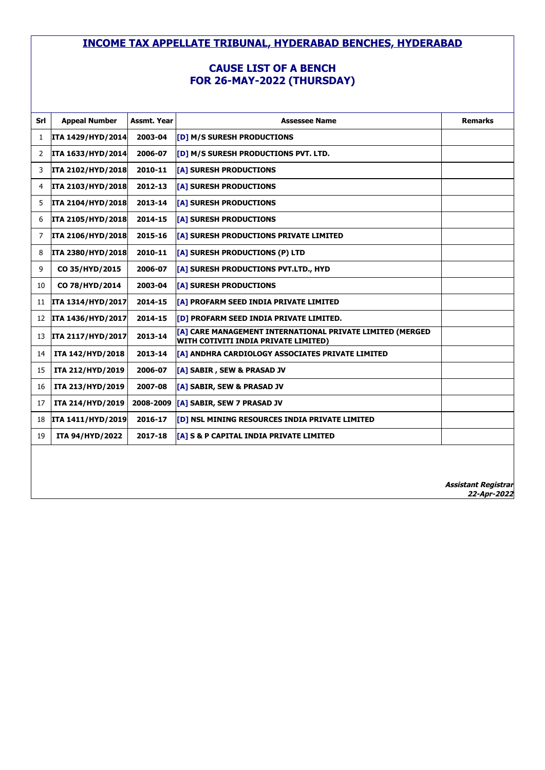# **CAUSE LIST OF A BENCH FOR 26-MAY-2022 (THURSDAY)**

| Srl | <b>Appeal Number</b>     | Assmt. Year | <b>Assessee Name</b>                                                                              | <b>Remarks</b>                            |
|-----|--------------------------|-------------|---------------------------------------------------------------------------------------------------|-------------------------------------------|
| 1   | ITA 1429/HYD/2014        | 2003-04     | [D] M/S SURESH PRODUCTIONS                                                                        |                                           |
| 2   | ITA 1633/HYD/2014        | 2006-07     | [D] M/S SURESH PRODUCTIONS PVT. LTD.                                                              |                                           |
| 3   | ITA 2102/HYD/2018        | 2010-11     | [A] SURESH PRODUCTIONS                                                                            |                                           |
| 4   | <b>ITA 2103/HYD/2018</b> | 2012-13     | [A] SURESH PRODUCTIONS                                                                            |                                           |
| 5   | ITA 2104/HYD/2018        | 2013-14     | [A] SURESH PRODUCTIONS                                                                            |                                           |
| 6   | <b>ITA 2105/HYD/2018</b> | 2014-15     | [A] SURESH PRODUCTIONS                                                                            |                                           |
| 7   | ITA 2106/HYD/2018        | 2015-16     | [A] SURESH PRODUCTIONS PRIVATE LIMITED                                                            |                                           |
| 8   | ITA 2380/HYD/2018        | 2010-11     | [A] SURESH PRODUCTIONS (P) LTD                                                                    |                                           |
| 9   | CO 35/HYD/2015           | 2006-07     | [A] SURESH PRODUCTIONS PVT.LTD., HYD                                                              |                                           |
| 10  | CO 78/HYD/2014           | 2003-04     | [A] SURESH PRODUCTIONS                                                                            |                                           |
| 11  | ITA 1314/HYD/2017        | 2014-15     | [A] PROFARM SEED INDIA PRIVATE LIMITED                                                            |                                           |
| 12  | ITA 1436/HYD/2017        | 2014-15     | [D] PROFARM SEED INDIA PRIVATE LIMITED.                                                           |                                           |
| 13  | <b>ITA 2117/HYD/2017</b> | 2013-14     | [A] CARE MANAGEMENT INTERNATIONAL PRIVATE LIMITED (MERGED<br>WITH COTIVITI INDIA PRIVATE LIMITED) |                                           |
| 14  | ITA 142/HYD/2018         | 2013-14     | [A] ANDHRA CARDIOLOGY ASSOCIATES PRIVATE LIMITED                                                  |                                           |
| 15  | ITA 212/HYD/2019         | 2006-07     | [A] SABIR, SEW & PRASAD JV                                                                        |                                           |
| 16  | ITA 213/HYD/2019         | 2007-08     | [A] SABIR, SEW & PRASAD JV                                                                        |                                           |
| 17  | ITA 214/HYD/2019         | 2008-2009   | [A] SABIR, SEW 7 PRASAD JV                                                                        |                                           |
| 18  | ITA 1411/HYD/2019        | 2016-17     | [D] NSL MINING RESOURCES INDIA PRIVATE LIMITED                                                    |                                           |
| 19  | ITA 94/HYD/2022          | 2017-18     | [A] S & P CAPITAL INDIA PRIVATE LIMITED                                                           |                                           |
|     |                          |             |                                                                                                   |                                           |
|     |                          |             |                                                                                                   |                                           |
|     |                          |             |                                                                                                   | <b>Assistant Registrar</b><br>22-Apr-2022 |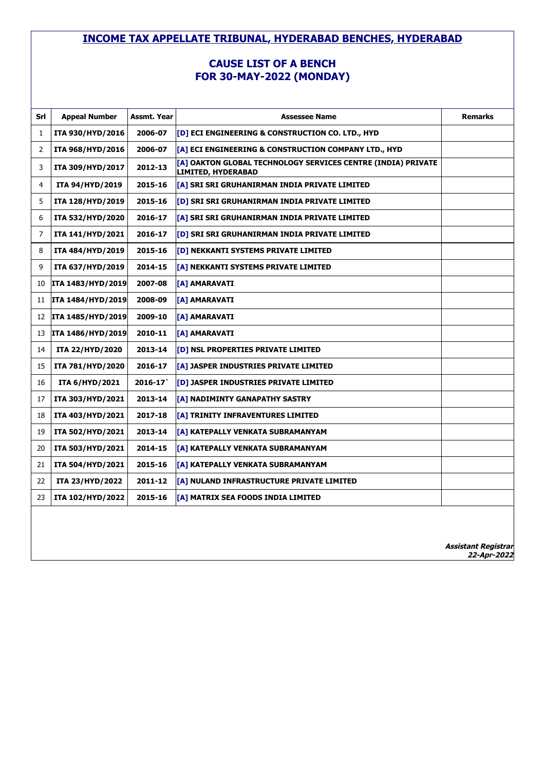#### **CAUSE LIST OF A BENCH FOR 30-MAY-2022 (MONDAY)**

| Srl | <b>Appeal Number</b>  | Assmt. Year | <b>Assessee Name</b>                                                               | <b>Remarks</b> |
|-----|-----------------------|-------------|------------------------------------------------------------------------------------|----------------|
| 1   | ITA 930/HYD/2016      | 2006-07     | [D] ECI ENGINEERING & CONSTRUCTION CO. LTD., HYD                                   |                |
| 2   | ITA 968/HYD/2016      | 2006-07     | [A] ECI ENGINEERING & CONSTRUCTION COMPANY LTD., HYD                               |                |
| 3   | ITA 309/HYD/2017      | 2012-13     | [A] OAKTON GLOBAL TECHNOLOGY SERVICES CENTRE (INDIA) PRIVATE<br>LIMITED, HYDERABAD |                |
| 4   | ITA 94/HYD/2019       | 2015-16     | [A] SRI SRI GRUHANIRMAN INDIA PRIVATE LIMITED                                      |                |
| 5   | ITA 128/HYD/2019      | 2015-16     | [D] SRI SRI GRUHANIRMAN INDIA PRIVATE LIMITED                                      |                |
| 6   | ITA 532/HYD/2020      | 2016-17     | [A] SRI SRI GRUHANIRMAN INDIA PRIVATE LIMITED                                      |                |
| 7   | ITA 141/HYD/2021      | 2016-17     | [D] SRI SRI GRUHANIRMAN INDIA PRIVATE LIMITED                                      |                |
| 8   | ITA 484/HYD/2019      | 2015-16     | [D] NEKKANTI SYSTEMS PRIVATE LIMITED                                               |                |
| 9   | ITA 637/HYD/2019      | 2014-15     | [A] NEKKANTI SYSTEMS PRIVATE LIMITED                                               |                |
| 10  | ITA 1483/HYD/2019     | 2007-08     | [A] AMARAVATI                                                                      |                |
| 11  | ITA 1484/HYD/2019     | 2008-09     | [A] AMARAVATI                                                                      |                |
| 12  | ITA 1485/HYD/2019     | 2009-10     | [A] AMARAVATI                                                                      |                |
| 13  | ITA 1486/HYD/2019     | 2010-11     | [A] AMARAVATI                                                                      |                |
| 14  | ITA 22/HYD/2020       | 2013-14     | [D] NSL PROPERTIES PRIVATE LIMITED                                                 |                |
| 15  | ITA 781/HYD/2020      | 2016-17     | [A] JASPER INDUSTRIES PRIVATE LIMITED                                              |                |
| 16  | <b>ITA 6/HYD/2021</b> | $2016 - 17$ | <b>[D] JASPER INDUSTRIES PRIVATE LIMITED</b>                                       |                |
| 17  | ITA 303/HYD/2021      | 2013-14     | [A] NADIMINTY GANAPATHY SASTRY                                                     |                |
| 18  | ITA 403/HYD/2021      | 2017-18     | [A] TRINITY INFRAVENTURES LIMITED                                                  |                |
| 19  | ITA 502/HYD/2021      | 2013-14     | [A] KATEPALLY VENKATA SUBRAMANYAM                                                  |                |
| 20  | ITA 503/HYD/2021      | 2014-15     | [A] KATEPALLY VENKATA SUBRAMANYAM                                                  |                |
| 21  | ITA 504/HYD/2021      | 2015-16     | [A] KATEPALLY VENKATA SUBRAMANYAM                                                  |                |
| 22  | ITA 23/HYD/2022       | 2011-12     | [A] NULAND INFRASTRUCTURE PRIVATE LIMITED                                          |                |
| 23  | ITA 102/HYD/2022      | 2015-16     | [A] MATRIX SEA FOODS INDIA LIMITED                                                 |                |
|     |                       |             |                                                                                    |                |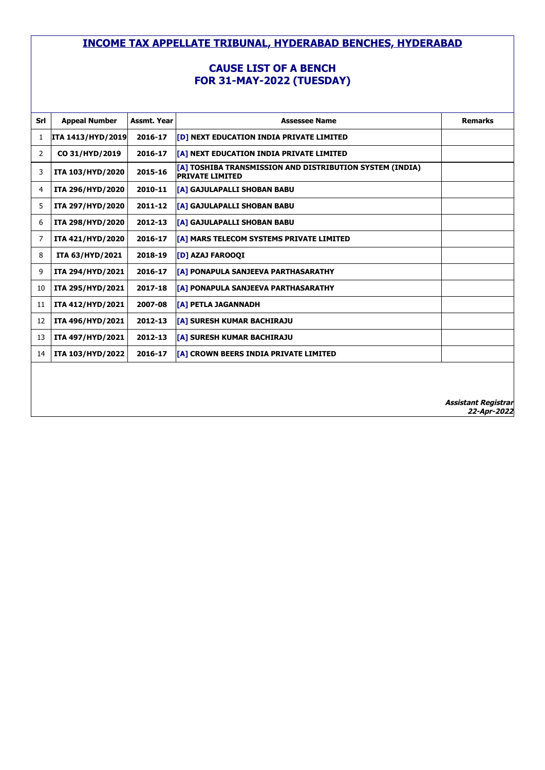### **CAUSE LIST OF A BENCH FOR 31-MAY-2022 (TUESDAY)**

| Srl | <b>Appeal Number</b>     | Assmt. Year | <b>Assessee Name</b>                                                                       | <b>Remarks</b> |
|-----|--------------------------|-------------|--------------------------------------------------------------------------------------------|----------------|
| 1   | <b>ITA 1413/HYD/2019</b> | 2016-17     | <b>[D] NEXT EDUCATION INDIA PRIVATE LIMITED</b>                                            |                |
| 2   | CO 31/HYD/2019           | 2016-17     | [A] NEXT EDUCATION INDIA PRIVATE LIMITED                                                   |                |
| 3   | ITA 103/HYD/2020         | 2015-16     | <b>[[A] TOSHIBA TRANSMISSION AND DISTRIBUTION SYSTEM (INDIA)</b><br><b>PRIVATE LIMITED</b> |                |
| 4   | ITA 296/HYD/2020         | 2010-11     | [A] GAJULAPALLI SHOBAN BABU                                                                |                |
| 5   | ITA 297/HYD/2020         | 2011-12     | <b>[[A] GAJULAPALLI SHOBAN BABU</b>                                                        |                |
| 6   | ITA 298/HYD/2020         | 2012-13     | <b>[A] GAJULAPALLI SHOBAN BABU</b>                                                         |                |
| 7   | ITA 421/HYD/2020         | 2016-17     | [A] MARS TELECOM SYSTEMS PRIVATE LIMITED                                                   |                |
| 8   | ITA 63/HYD/2021          | 2018-19     | <b>[D] AZAJ FAROOQI</b>                                                                    |                |
| 9   | ITA 294/HYD/2021         | 2016-17     | [A] PONAPULA SANJEEVA PARTHASARATHY                                                        |                |
| 10  | ITA 295/HYD/2021         | 2017-18     | <b>[[A] PONAPULA SANJEEVA PARTHASARATHY</b>                                                |                |
| 11  | ITA 412/HYD/2021         | 2007-08     | <b>[A] PETLA JAGANNADH</b>                                                                 |                |
| 12  | ITA 496/HYD/2021         | 2012-13     | <b>TA1 SURESH KUMAR BACHIRAJU</b>                                                          |                |
| 13  | ITA 497/HYD/2021         | 2012-13     | <b>TA1 SURESH KUMAR BACHIRAJU</b>                                                          |                |
| 14  | ITA 103/HYD/2022         | 2016-17     | <b>[[A] CROWN BEERS INDIA PRIVATE LIMITED</b>                                              |                |
|     |                          |             |                                                                                            |                |
|     |                          |             |                                                                                            |                |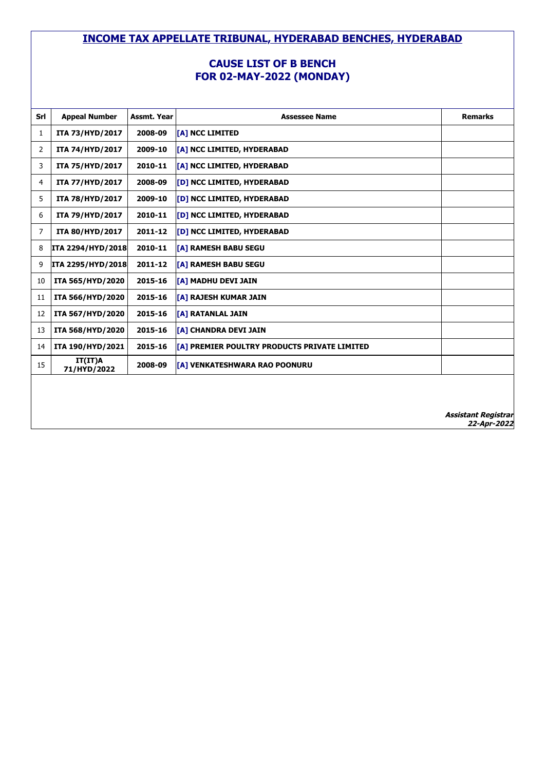#### **CAUSE LIST OF B BENCH FOR 02-MAY-2022 (MONDAY)**

| Srl | <b>Appeal Number</b>     | Assmt. Year | <b>Assessee Name</b>                         | <b>Remarks</b> |
|-----|--------------------------|-------------|----------------------------------------------|----------------|
| 1   | ITA 73/HYD/2017          | 2008-09     | [A] NCC LIMITED                              |                |
| 2   | ITA 74/HYD/2017          | 2009-10     | [A] NCC LIMITED, HYDERABAD                   |                |
| 3   | ITA 75/HYD/2017          | 2010-11     | [A] NCC LIMITED, HYDERABAD                   |                |
| 4   | ITA 77/HYD/2017          | 2008-09     | [D] NCC LIMITED, HYDERABAD                   |                |
| 5   | <b>ITA 78/HYD/2017</b>   | 2009-10     | [D] NCC LIMITED, HYDERABAD                   |                |
| 6   | ITA 79/HYD/2017          | 2010-11     | [D] NCC LIMITED, HYDERABAD                   |                |
| 7   | <b>ITA 80/HYD/2017</b>   | 2011-12     | [D] NCC LIMITED, HYDERABAD                   |                |
| 8   | ITA 2294/HYD/2018        | 2010-11     | [A] RAMESH BABU SEGU                         |                |
| 9   | <b>ITA 2295/HYD/2018</b> | 2011-12     | [A] RAMESH BABU SEGU                         |                |
| 10  | ITA 565/HYD/2020         | 2015-16     | [A] MADHU DEVI JAIN                          |                |
| 11  | ITA 566/HYD/2020         | 2015-16     | [A] RAJESH KUMAR JAIN                        |                |
| 12  | ITA 567/HYD/2020         | 2015-16     | [A] RATANLAL JAIN                            |                |
| 13  | ITA 568/HYD/2020         | 2015-16     | [A] CHANDRA DEVI JAIN                        |                |
| 14  | ITA 190/HYD/2021         | 2015-16     | [A] PREMIER POULTRY PRODUCTS PRIVATE LIMITED |                |
| 15  | IT(IT)A<br>71/HYD/2022   | 2008-09     | [A] VENKATESHWARA RAO POONURU                |                |
|     |                          |             |                                              |                |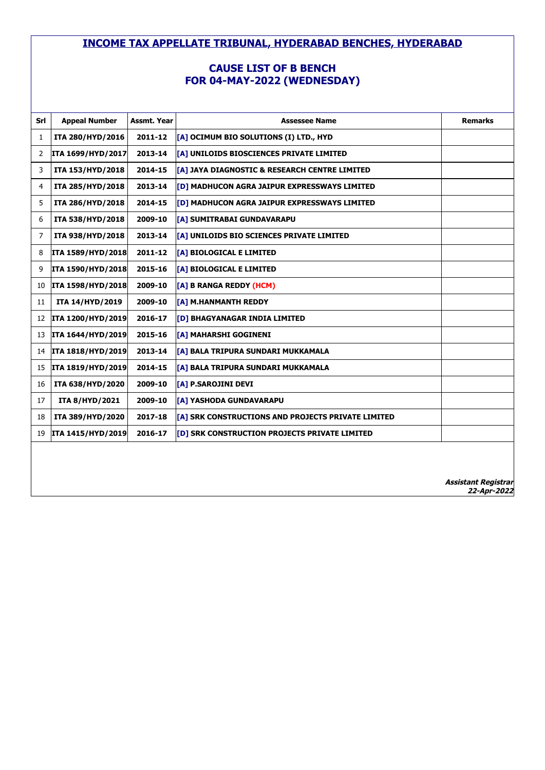# **CAUSE LIST OF B BENCH FOR 04-MAY-2022 (WEDNESDAY)**

| Srl | <b>Appeal Number</b>     | <b>Assmt. Year</b> | <b>Assessee Name</b>                                     | <b>Remarks</b> |
|-----|--------------------------|--------------------|----------------------------------------------------------|----------------|
| 1   | ITA 280/HYD/2016         | 2011-12            | [A] OCIMUM BIO SOLUTIONS (I) LTD., HYD                   |                |
| 2   | ITA 1699/HYD/2017        | 2013-14            | [A] UNILOIDS BIOSCIENCES PRIVATE LIMITED                 |                |
| 3   | ITA 153/HYD/2018         | 2014-15            | <b>[A] JAYA DIAGNOSTIC &amp; RESEARCH CENTRE LIMITED</b> |                |
| 4   | ITA 285/HYD/2018         | 2013-14            | [D] MADHUCON AGRA JAIPUR EXPRESSWAYS LIMITED             |                |
| 5   | ITA 286/HYD/2018         | 2014-15            | <b>[D] MADHUCON AGRA JAIPUR EXPRESSWAYS LIMITED</b>      |                |
| 6   | ITA 538/HYD/2018         | 2009-10            | [A] SUMITRABAI GUNDAVARAPU                               |                |
| 7   | ITA 938/HYD/2018         | 2013-14            | [A] UNILOIDS BIO SCIENCES PRIVATE LIMITED                |                |
| 8   | ITA 1589/HYD/2018        | 2011-12            | [A] BIOLOGICAL E LIMITED                                 |                |
| 9   | ITA 1590/HYD/2018        | 2015-16            | [A] BIOLOGICAL E LIMITED                                 |                |
| 10  | <b>ITA 1598/HYD/2018</b> | 2009-10            | [A] B RANGA REDDY (HCM)                                  |                |
| 11  | ITA 14/HYD/2019          | 2009-10            | [A] M.HANMANTH REDDY                                     |                |
| 12  | ITA 1200/HYD/2019        | 2016-17            | [D] BHAGYANAGAR INDIA LIMITED                            |                |
| 13  | ITA 1644/HYD/2019        | 2015-16            | <b>[A] MAHARSHI GOGINENI</b>                             |                |
| 14  | <b>ITA 1818/HYD/2019</b> | 2013-14            | [A] BALA TRIPURA SUNDARI MUKKAMALA                       |                |
| 15  | ITA 1819/HYD/2019        | 2014-15            | [A] BALA TRIPURA SUNDARI MUKKAMALA                       |                |
| 16  | ITA 638/HYD/2020         | 2009-10            | [A] P.SAROJINI DEVI                                      |                |
| 17  | <b>ITA 8/HYD/2021</b>    | 2009-10            | [A] YASHODA GUNDAVARAPU                                  |                |
| 18  | ITA 389/HYD/2020         | 2017-18            | [A] SRK CONSTRUCTIONS AND PROJECTS PRIVATE LIMITED       |                |
| 19  | ITA 1415/HYD/2019        | 2016-17            | [D] SRK CONSTRUCTION PROJECTS PRIVATE LIMITED            |                |
|     |                          |                    |                                                          |                |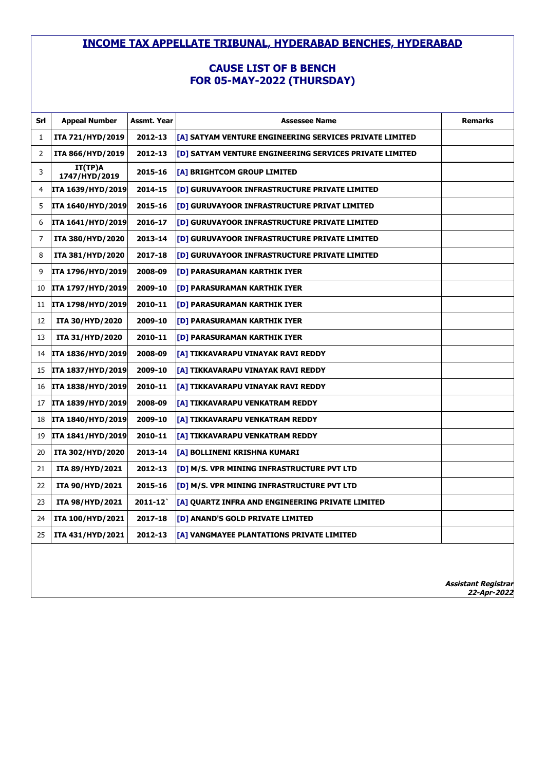# **CAUSE LIST OF B BENCH FOR 05-MAY-2022 (THURSDAY)**

| Srl | <b>Appeal Number</b>     | Assmt. Year | <b>Assessee Name</b>                                    | <b>Remarks</b>                            |
|-----|--------------------------|-------------|---------------------------------------------------------|-------------------------------------------|
| 1   | ITA 721/HYD/2019         | 2012-13     | [A] SATYAM VENTURE ENGINEERING SERVICES PRIVATE LIMITED |                                           |
| 2   | ITA 866/HYD/2019         | 2012-13     | [D] SATYAM VENTURE ENGINEERING SERVICES PRIVATE LIMITED |                                           |
| 3   | IT(TP)A<br>1747/HYD/2019 | 2015-16     | [A] BRIGHTCOM GROUP LIMITED                             |                                           |
| 4   | ITA 1639/HYD/2019        | 2014-15     | [D] GURUVAYOOR INFRASTRUCTURE PRIVATE LIMITED           |                                           |
| 5   | ITA 1640/HYD/2019        | 2015-16     | [D] GURUVAYOOR INFRASTRUCTURE PRIVAT LIMITED            |                                           |
| 6   | ITA 1641/HYD/2019        | 2016-17     | [D] GURUVAYOOR INFRASTRUCTURE PRIVATE LIMITED           |                                           |
| 7   | ITA 380/HYD/2020         | 2013-14     | [D] GURUVAYOOR INFRASTRUCTURE PRIVATE LIMITED           |                                           |
| 8   | ITA 381/HYD/2020         | 2017-18     | [D] GURUVAYOOR INFRASTRUCTURE PRIVATE LIMITED           |                                           |
| 9   | ITA 1796/HYD/2019        | 2008-09     | [D] PARASURAMAN KARTHIK IYER                            |                                           |
| 10  | ITA 1797/HYD/2019        | 2009-10     | [D] PARASURAMAN KARTHIK IYER                            |                                           |
| 11  | ITA 1798/HYD/2019        | 2010-11     | [D] PARASURAMAN KARTHIK IYER                            |                                           |
| 12  | ITA 30/HYD/2020          | 2009-10     | [D] PARASURAMAN KARTHIK IYER                            |                                           |
| 13  | ITA 31/HYD/2020          | 2010-11     | [D] PARASURAMAN KARTHIK IYER                            |                                           |
| 14  | ITA 1836/HYD/2019        | 2008-09     | [A] TIKKAVARAPU VINAYAK RAVI REDDY                      |                                           |
| 15  | ITA 1837/HYD/2019        | 2009-10     | [A] TIKKAVARAPU VINAYAK RAVI REDDY                      |                                           |
| 16  | ITA 1838/HYD/2019        | 2010-11     | [A] TIKKAVARAPU VINAYAK RAVI REDDY                      |                                           |
| 17  | ITA 1839/HYD/2019        | 2008-09     | [A] TIKKAVARAPU VENKATRAM REDDY                         |                                           |
| 18  | ITA 1840/HYD/2019        | 2009-10     | [A] TIKKAVARAPU VENKATRAM REDDY                         |                                           |
| 19  | ITA 1841/HYD/2019        | 2010-11     | [A] TIKKAVARAPU VENKATRAM REDDY                         |                                           |
| 20  | ITA 302/HYD/2020         | 2013-14     | [A] BOLLINENI KRISHNA KUMARI                            |                                           |
| 21  | ITA 89/HYD/2021          | 2012-13     | [D] M/S. VPR MINING INFRASTRUCTURE PVT LTD              |                                           |
| 22  | ITA 90/HYD/2021          | 2015-16     | [D] M/S. VPR MINING INFRASTRUCTURE PVT LTD              |                                           |
| 23  | <b>ITA 98/HYD/2021</b>   | $2011 - 12$ | [A] QUARTZ INFRA AND ENGINEERING PRIVATE LIMITED        |                                           |
| 24  | ITA 100/HYD/2021         | 2017-18     | [D] ANAND'S GOLD PRIVATE LIMITED                        |                                           |
| 25  | ITA 431/HYD/2021         | 2012-13     | [A] VANGMAYEE PLANTATIONS PRIVATE LIMITED               |                                           |
|     |                          |             |                                                         | <b>Assistant Registrar</b><br>22-Apr-2022 |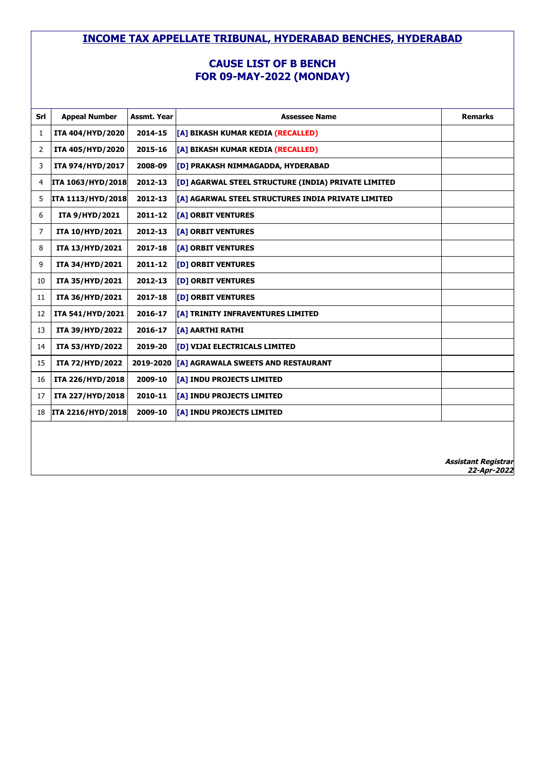#### **CAUSE LIST OF B BENCH FOR 09-MAY-2022 (MONDAY)**

| Srl | <b>Appeal Number</b>  | Assmt. Year | <b>Assessee Name</b>                                | <b>Remarks</b>                            |
|-----|-----------------------|-------------|-----------------------------------------------------|-------------------------------------------|
| 1   | ITA 404/HYD/2020      | 2014-15     | [A] BIKASH KUMAR KEDIA (RECALLED)                   |                                           |
| 2   | ITA 405/HYD/2020      | 2015-16     | [A] BIKASH KUMAR KEDIA (RECALLED)                   |                                           |
| 3   | ITA 974/HYD/2017      | 2008-09     | <b>[D] PRAKASH NIMMAGADDA, HYDERABAD</b>            |                                           |
| 4   | ITA 1063/HYD/2018     | 2012-13     | [D] AGARWAL STEEL STRUCTURE (INDIA) PRIVATE LIMITED |                                           |
| 5   | ITA 1113/HYD/2018     | 2012-13     | [A] AGARWAL STEEL STRUCTURES INDIA PRIVATE LIMITED  |                                           |
| 6   | <b>ITA 9/HYD/2021</b> | 2011-12     | [A] ORBIT VENTURES                                  |                                           |
| 7   | ITA 10/HYD/2021       | 2012-13     | <b>[A] ORBIT VENTURES</b>                           |                                           |
| 8   | ITA 13/HYD/2021       | 2017-18     | <b>[A] ORBIT VENTURES</b>                           |                                           |
| 9   | ITA 34/HYD/2021       | 2011-12     | <b>[D] ORBIT VENTURES</b>                           |                                           |
| 10  | ITA 35/HYD/2021       | 2012-13     | <b>[D] ORBIT VENTURES</b>                           |                                           |
| 11  | ITA 36/HYD/2021       | 2017-18     | [D] ORBIT VENTURES                                  |                                           |
| 12  | ITA 541/HYD/2021      | 2016-17     | [A] TRINITY INFRAVENTURES LIMITED                   |                                           |
| 13  | ITA 39/HYD/2022       | 2016-17     | <b>TA1 AARTHI RATHI</b>                             |                                           |
| 14  | ITA 53/HYD/2022       | 2019-20     | <b>[D] VIJAI ELECTRICALS LIMITED</b>                |                                           |
| 15  | ITA 72/HYD/2022       | 2019-2020   | [A] AGRAWALA SWEETS AND RESTAURANT                  |                                           |
| 16  | ITA 226/HYD/2018      | 2009-10     | <b>[A] INDU PROJECTS LIMITED</b>                    |                                           |
| 17  | ITA 227/HYD/2018      | 2010-11     | [A] INDU PROJECTS LIMITED                           |                                           |
| 18  | ITA 2216/HYD/2018     | 2009-10     | [A] INDU PROJECTS LIMITED                           |                                           |
|     |                       |             |                                                     |                                           |
|     |                       |             |                                                     |                                           |
|     |                       |             |                                                     | <b>Assistant Registrar</b><br>22-Apr-2022 |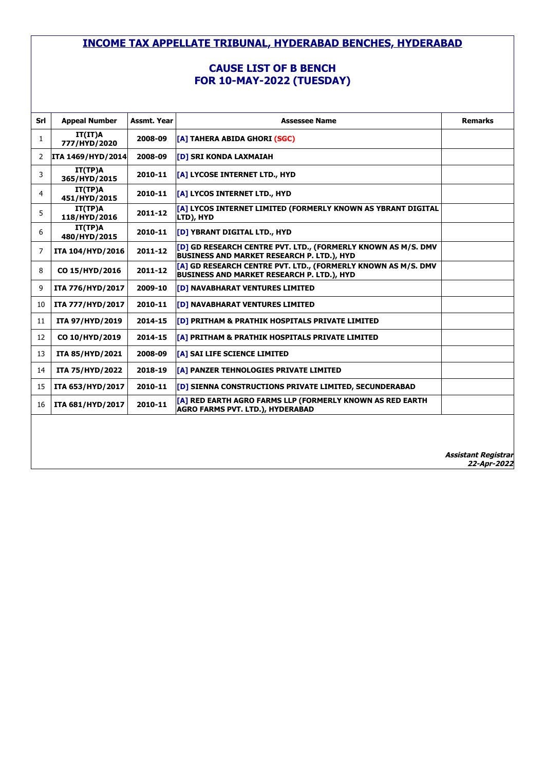# **CAUSE LIST OF B BENCH FOR 10-MAY-2022 (TUESDAY)**

| Srl            | <b>Appeal Number</b>     | Assmt. Year | <b>Assessee Name</b>                                                                                               | <b>Remarks</b>                            |
|----------------|--------------------------|-------------|--------------------------------------------------------------------------------------------------------------------|-------------------------------------------|
| 1              | IT(IT)A<br>777/HYD/2020  | 2008-09     | [A] TAHERA ABIDA GHORI (SGC)                                                                                       |                                           |
| 2              | <b>ITA 1469/HYD/2014</b> | 2008-09     | <b>IDI SRI KONDA LAXMAIAH</b>                                                                                      |                                           |
| 3              | IT(TP)A<br>365/HYD/2015  | 2010-11     | [A] LYCOSE INTERNET LTD., HYD                                                                                      |                                           |
| $\overline{4}$ | IT(TP)A<br>451/HYD/2015  | 2010-11     | <b>[A] LYCOS INTERNET LTD., HYD</b>                                                                                |                                           |
| 5              | IT(TP)A<br>118/HYD/2016  | 2011-12     | <b>[[A] LYCOS INTERNET LIMITED (FORMERLY KNOWN AS YBRANT DIGITAL</b><br>LTD), HYD                                  |                                           |
| 6              | IT(TP)A<br>480/HYD/2015  | 2010-11     | [D] YBRANT DIGITAL LTD., HYD                                                                                       |                                           |
| 7              | ITA 104/HYD/2016         | 2011-12     | [D] GD RESEARCH CENTRE PVT. LTD., (FORMERLY KNOWN AS M/S. DMV<br><b>BUSINESS AND MARKET RESEARCH P. LTD.), HYD</b> |                                           |
| 8              | CO 15/HYD/2016           | 2011-12     | [A] GD RESEARCH CENTRE PVT. LTD., (FORMERLY KNOWN AS M/S. DMV<br><b>BUSINESS AND MARKET RESEARCH P. LTD.), HYD</b> |                                           |
| 9              | ITA 776/HYD/2017         | 2009-10     | [D] NAVABHARAT VENTURES LIMITED                                                                                    |                                           |
| 10             | ITA 777/HYD/2017         | 2010-11     | [D] NAVABHARAT VENTURES LIMITED                                                                                    |                                           |
| 11             | ITA 97/HYD/2019          | 2014-15     | <b>[D] PRITHAM &amp; PRATHIK HOSPITALS PRIVATE LIMITED</b>                                                         |                                           |
| 12             | CO 10/HYD/2019           | 2014-15     | <b>TAT PRITHAM &amp; PRATHIK HOSPITALS PRIVATE LIMITED</b>                                                         |                                           |
| 13             | <b>ITA 85/HYD/2021</b>   | 2008-09     | <b>[A] SAI LIFE SCIENCE LIMITED</b>                                                                                |                                           |
| 14             | ITA 75/HYD/2022          | 2018-19     | [A] PANZER TEHNOLOGIES PRIVATE LIMITED                                                                             |                                           |
| 15             | ITA 653/HYD/2017         | 2010-11     | [D] SIENNA CONSTRUCTIONS PRIVATE LIMITED, SECUNDERABAD                                                             |                                           |
| 16             | ITA 681/HYD/2017         | 2010-11     | [A] RED EARTH AGRO FARMS LLP (FORMERLY KNOWN AS RED EARTH<br><b>AGRO FARMS PVT. LTD.), HYDERABAD</b>               |                                           |
|                |                          |             |                                                                                                                    |                                           |
|                |                          |             |                                                                                                                    |                                           |
|                |                          |             |                                                                                                                    | <b>Assistant Registrar</b><br>22-Apr-2022 |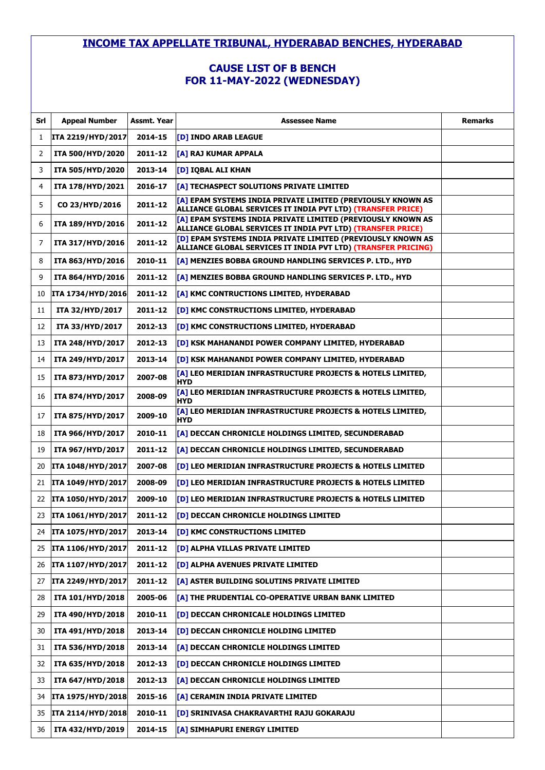# **CAUSE LIST OF B BENCH FOR 11-MAY-2022 (WEDNESDAY)**

| Srl | <b>Appeal Number</b>     | Assmt. Year | <b>Assessee Name</b>                                                                                                         | <b>Remarks</b> |
|-----|--------------------------|-------------|------------------------------------------------------------------------------------------------------------------------------|----------------|
| 1   | <b>ITA 2219/HYD/2017</b> | 2014-15     | [D] INDO ARAB LEAGUE                                                                                                         |                |
| 2   | ITA 500/HYD/2020         | 2011-12     | [A] RAJ KUMAR APPALA                                                                                                         |                |
| 3   | ITA 505/HYD/2020         | 2013-14     | [D] IOBAL ALI KHAN                                                                                                           |                |
| 4   | ITA 178/HYD/2021         | 2016-17     | [A] TECHASPECT SOLUTIONS PRIVATE LIMITED                                                                                     |                |
| 5   | CO 23/HYD/2016           | 2011-12     | [A] EPAM SYSTEMS INDIA PRIVATE LIMITED (PREVIOUSLY KNOWN AS<br>ALLIANCE GLOBAL SERVICES IT INDIA PVT LTD) (TRANSFER PRICE)   |                |
| 6   | ITA 189/HYD/2016         | 2011-12     | [A] EPAM SYSTEMS INDIA PRIVATE LIMITED (PREVIOUSLY KNOWN AS<br>ALLIANCE GLOBAL SERVICES IT INDIA PVT LTD) (TRANSFER PRICE)   |                |
| 7   | ITA 317/HYD/2016         | 2011-12     | [D] EPAM SYSTEMS INDIA PRIVATE LIMITED (PREVIOUSLY KNOWN AS<br>ALLIANCE GLOBAL SERVICES IT INDIA PVT LTD) (TRANSFER PRICING) |                |
| 8   | ITA 863/HYD/2016         | 2010-11     | [A] MENZIES BOBBA GROUND HANDLING SERVICES P. LTD., HYD                                                                      |                |
| 9   | ITA 864/HYD/2016         | 2011-12     | [A] MENZIES BOBBA GROUND HANDLING SERVICES P. LTD., HYD                                                                      |                |
| 10  | ITA 1734/HYD/2016        | 2011-12     | [A] KMC CONTRUCTIONS LIMITED, HYDERABAD                                                                                      |                |
| 11  | ITA 32/HYD/2017          | 2011-12     | [D] KMC CONSTRUCTIONS LIMITED, HYDERABAD                                                                                     |                |
| 12  | ITA 33/HYD/2017          | 2012-13     | [D] KMC CONSTRUCTIONS LIMITED, HYDERABAD                                                                                     |                |
| 13  | ITA 248/HYD/2017         | 2012-13     | [D] KSK MAHANANDI POWER COMPANY LIMITED, HYDERABAD                                                                           |                |
| 14  | ITA 249/HYD/2017         | 2013-14     | [D] KSK MAHANANDI POWER COMPANY LIMITED, HYDERABAD                                                                           |                |
| 15  | ITA 873/HYD/2017         | 2007-08     | [A] LEO MERIDIAN INFRASTRUCTURE PROJECTS & HOTELS LIMITED,<br><b>HYD</b>                                                     |                |
| 16  | ITA 874/HYD/2017         | 2008-09     | [A] LEO MERIDIAN INFRASTRUCTURE PROJECTS & HOTELS LIMITED,<br><b>HYD</b>                                                     |                |
| 17  | ITA 875/HYD/2017         | 2009-10     | [A] LEO MERIDIAN INFRASTRUCTURE PROJECTS & HOTELS LIMITED,<br><b>HYD</b>                                                     |                |
| 18  | ITA 966/HYD/2017         | 2010-11     | [A] DECCAN CHRONICLE HOLDINGS LIMITED, SECUNDERABAD                                                                          |                |
| 19  | ITA 967/HYD/2017         | 2011-12     | [A] DECCAN CHRONICLE HOLDINGS LIMITED, SECUNDERABAD                                                                          |                |
| 20  | <b>ITA 1048/HYD/2017</b> | 2007-08     | [D] LEO MERIDIAN INFRASTRUCTURE PROJECTS & HOTELS LIMITED                                                                    |                |
| 21  | <b>ITA 1049/HYD/2017</b> | 2008-09     | [D] LEO MERIDIAN INFRASTRUCTURE PROJECTS & HOTELS LIMITED                                                                    |                |
| 22  | ITA 1050/HYD/2017        | 2009-10     | [D] LEO MERIDIAN INFRASTRUCTURE PROJECTS & HOTELS LIMITED                                                                    |                |
| 23  | ITA 1061/HYD/2017        | 2011-12     | [D] DECCAN CHRONICLE HOLDINGS LIMITED                                                                                        |                |
| 24  | ITA 1075/HYD/2017        | 2013-14     | [D] KMC CONSTRUCTIONS LIMITED                                                                                                |                |
| 25  | ITA 1106/HYD/2017        | 2011-12     | [D] ALPHA VILLAS PRIVATE LIMITED                                                                                             |                |
| 26  | ITA 1107/HYD/2017        | 2011-12     | [D] ALPHA AVENUES PRIVATE LIMITED                                                                                            |                |
| 27  | ITA 2249/HYD/2017        | 2011-12     | [A] ASTER BUILDING SOLUTINS PRIVATE LIMITED                                                                                  |                |
| 28  | ITA 101/HYD/2018         | 2005-06     | [A] THE PRUDENTIAL CO-OPERATIVE URBAN BANK LIMITED                                                                           |                |
| 29  | ITA 490/HYD/2018         | 2010-11     | [D] DECCAN CHRONICALE HOLDINGS LIMITED                                                                                       |                |
| 30  | ITA 491/HYD/2018         | 2013-14     | [D] DECCAN CHRONICLE HOLDING LIMITED                                                                                         |                |
| 31  | ITA 536/HYD/2018         | 2013-14     | [A] DECCAN CHRONICLE HOLDINGS LIMITED                                                                                        |                |
| 32  | ITA 635/HYD/2018         | 2012-13     | [D] DECCAN CHRONICLE HOLDINGS LIMITED                                                                                        |                |
| 33  | ITA 647/HYD/2018         | 2012-13     | [A] DECCAN CHRONICLE HOLDINGS LIMITED                                                                                        |                |
| 34  | ITA 1975/HYD/2018        | 2015-16     | [A] CERAMIN INDIA PRIVATE LIMITED                                                                                            |                |
| 35  | <b>ITA 2114/HYD/2018</b> | 2010-11     | [D] SRINIVASA CHAKRAVARTHI RAJU GOKARAJU                                                                                     |                |
| 36  | ITA 432/HYD/2019         | 2014-15     | [A] SIMHAPURI ENERGY LIMITED                                                                                                 |                |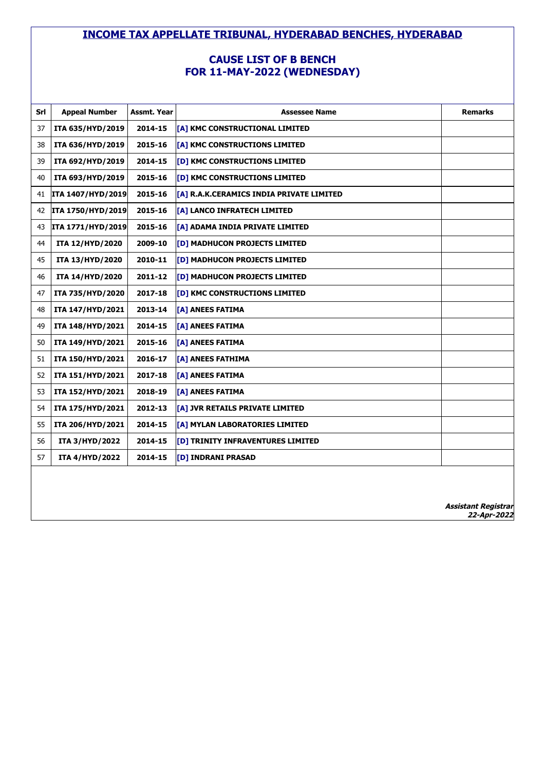### **CAUSE LIST OF B BENCH FOR 11-MAY-2022 (WEDNESDAY)**

| Srl | <b>Appeal Number</b>  | Assmt. Year | <b>Assessee Name</b>                     | <b>Remarks</b>                            |
|-----|-----------------------|-------------|------------------------------------------|-------------------------------------------|
| 37  | ITA 635/HYD/2019      | 2014-15     | [A] KMC CONSTRUCTIONAL LIMITED           |                                           |
| 38  | ITA 636/HYD/2019      | 2015-16     | [A] KMC CONSTRUCTIONS LIMITED            |                                           |
| 39  | ITA 692/HYD/2019      | 2014-15     | <b>[D] KMC CONSTRUCTIONS LIMITED</b>     |                                           |
| 40  | ITA 693/HYD/2019      | 2015-16     | <b>[D] KMC CONSTRUCTIONS LIMITED</b>     |                                           |
| 41  | ITA 1407/HYD/2019     | 2015-16     | [A] R.A.K.CERAMICS INDIA PRIVATE LIMITED |                                           |
| 42  | ITA 1750/HYD/2019     | 2015-16     | [A] LANCO INFRATECH LIMITED              |                                           |
| 43  | ITA 1771/HYD/2019     | 2015-16     | [A] ADAMA INDIA PRIVATE LIMITED          |                                           |
| 44  | ITA 12/HYD/2020       | 2009-10     | <b>[D] MADHUCON PROJECTS LIMITED</b>     |                                           |
| 45  | ITA 13/HYD/2020       | 2010-11     | <b>[D] MADHUCON PROJECTS LIMITED</b>     |                                           |
| 46  | ITA 14/HYD/2020       | 2011-12     | [D] MADHUCON PROJECTS LIMITED            |                                           |
| 47  | ITA 735/HYD/2020      | 2017-18     | <b>[D] KMC CONSTRUCTIONS LIMITED</b>     |                                           |
| 48  | ITA 147/HYD/2021      | 2013-14     | [A] ANEES FATIMA                         |                                           |
| 49  | ITA 148/HYD/2021      | 2014-15     | [A] ANEES FATIMA                         |                                           |
| 50  | ITA 149/HYD/2021      | 2015-16     | [A] ANEES FATIMA                         |                                           |
| 51  | ITA 150/HYD/2021      | 2016-17     | <b>TA1 ANEES FATHIMA</b>                 |                                           |
| 52  | ITA 151/HYD/2021      | 2017-18     | <b>TA1 ANEES FATIMA</b>                  |                                           |
| 53  | ITA 152/HYD/2021      | 2018-19     | [A] ANEES FATIMA                         |                                           |
| 54  | ITA 175/HYD/2021      | 2012-13     | [A] JVR RETAILS PRIVATE LIMITED          |                                           |
| 55  | ITA 206/HYD/2021      | 2014-15     | [A] MYLAN LABORATORIES LIMITED           |                                           |
| 56  | <b>ITA 3/HYD/2022</b> | 2014-15     | <b>[D] TRINITY INFRAVENTURES LIMITED</b> |                                           |
| 57  | <b>ITA 4/HYD/2022</b> | 2014-15     | <b>[D] INDRANI PRASAD</b>                |                                           |
|     |                       |             |                                          |                                           |
|     |                       |             |                                          |                                           |
|     |                       |             |                                          | <b>Assistant Registrar</b><br>22-Apr-2022 |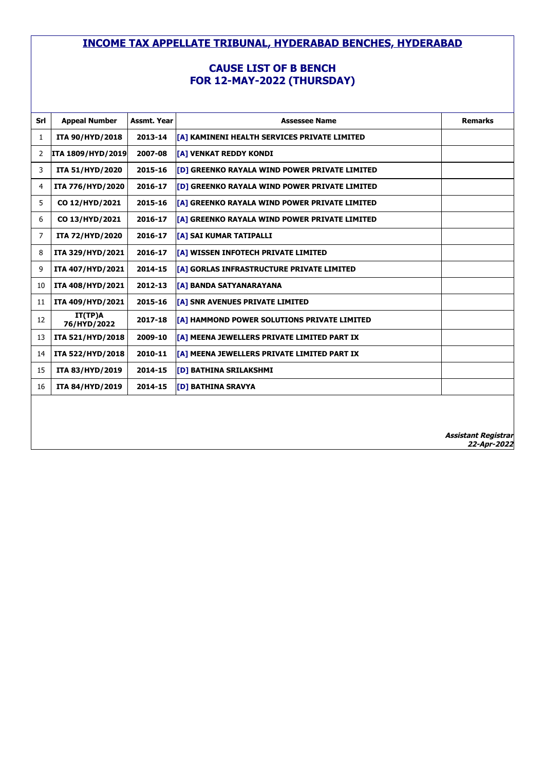# **CAUSE LIST OF B BENCH FOR 12-MAY-2022 (THURSDAY)**

| Srl | <b>Appeal Number</b>   | Assmt. Year | <b>Assessee Name</b>                                 | <b>Remarks</b>             |
|-----|------------------------|-------------|------------------------------------------------------|----------------------------|
| 1   | <b>ITA 90/HYD/2018</b> | 2013-14     | [[A] KAMINENI HEALTH SERVICES PRIVATE LIMITED        |                            |
| 2   | ITA 1809/HYD/2019      | 2007-08     | <b>[A] VENKAT REDDY KONDI</b>                        |                            |
| 3   | ITA 51/HYD/2020        | 2015-16     | [D] GREENKO RAYALA WIND POWER PRIVATE LIMITED        |                            |
| 4   | ITA 776/HYD/2020       | 2016-17     | <b>[D] GREENKO RAYALA WIND POWER PRIVATE LIMITED</b> |                            |
| 5   | CO 12/HYD/2021         | 2015-16     | <b>TA1 GREENKO RAYALA WIND POWER PRIVATE LIMITED</b> |                            |
| 6   | CO 13/HYD/2021         | 2016-17     | [[A] GREENKO RAYALA WIND POWER PRIVATE LIMITED       |                            |
| 7   | ITA 72/HYD/2020        | 2016-17     | <b>[A] SAI KUMAR TATIPALLI</b>                       |                            |
| 8   | ITA 329/HYD/2021       | 2016-17     | [[A] WISSEN INFOTECH PRIVATE LIMITED                 |                            |
| 9   | ITA 407/HYD/2021       | 2014-15     | [A] GORLAS INFRASTRUCTURE PRIVATE LIMITED            |                            |
| 10  | ITA 408/HYD/2021       | 2012-13     | <b>[A] BANDA SATYANARAYANA</b>                       |                            |
| 11  | ITA 409/HYD/2021       | 2015-16     | [A] SNR AVENUES PRIVATE LIMITED                      |                            |
| 12  | IT(TP)A<br>76/HYD/2022 | 2017-18     | [A] HAMMOND POWER SOLUTIONS PRIVATE LIMITED          |                            |
| 13  | ITA 521/HYD/2018       | 2009-10     | [A] MEENA JEWELLERS PRIVATE LIMITED PART IX          |                            |
| 14  | ITA 522/HYD/2018       | 2010-11     | [A] MEENA JEWELLERS PRIVATE LIMITED PART IX          |                            |
| 15  | ITA 83/HYD/2019        | 2014-15     | <b>[D] BATHINA SRILAKSHMI</b>                        |                            |
| 16  | ITA 84/HYD/2019        | 2014-15     | <b>[D] BATHINA SRAVYA</b>                            |                            |
|     |                        |             |                                                      |                            |
|     |                        |             |                                                      |                            |
|     |                        |             |                                                      | <b>Assistant Registrar</b> |

**22-Apr-2022**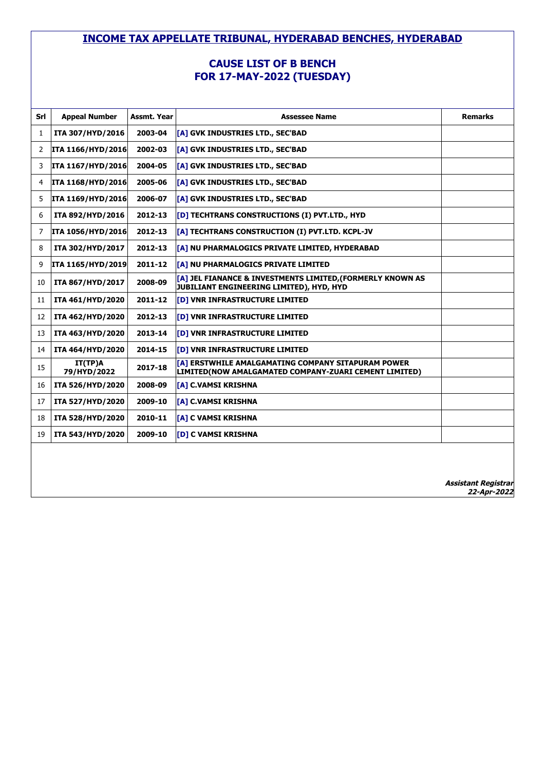#### **CAUSE LIST OF B BENCH FOR 17-MAY-2022 (TUESDAY)**

| Srl          | <b>Appeal Number</b>     | <b>Assmt. Year</b> | <b>Assessee Name</b>                                                                                               | <b>Remarks</b> |
|--------------|--------------------------|--------------------|--------------------------------------------------------------------------------------------------------------------|----------------|
| $\mathbf{1}$ | ITA 307/HYD/2016         | 2003-04            | [A] GVK INDUSTRIES LTD., SEC'BAD                                                                                   |                |
| 2            | <b>ITA 1166/HYD/2016</b> | 2002-03            | [A] GVK INDUSTRIES LTD., SEC'BAD                                                                                   |                |
| 3            | ITA 1167/HYD/2016        | 2004-05            | [A] GVK INDUSTRIES LTD., SEC'BAD                                                                                   |                |
| 4            | ITA 1168/HYD/2016        | 2005-06            | [A] GVK INDUSTRIES LTD., SEC'BAD                                                                                   |                |
| 5            | <b>ITA 1169/HYD/2016</b> | 2006-07            | [A] GVK INDUSTRIES LTD., SEC'BAD                                                                                   |                |
| 6            | ITA 892/HYD/2016         | 2012-13            | [D] TECHTRANS CONSTRUCTIONS (I) PVT.LTD., HYD                                                                      |                |
| 7            | <b>ITA 1056/HYD/2016</b> | 2012-13            | [A] TECHTRANS CONSTRUCTION (I) PVT.LTD. KCPL-JV                                                                    |                |
| 8            | ITA 302/HYD/2017         | 2012-13            | [A] NU PHARMALOGICS PRIVATE LIMITED, HYDERABAD                                                                     |                |
| 9            | ITA 1165/HYD/2019        | 2011-12            | [A] NU PHARMALOGICS PRIVATE LIMITED                                                                                |                |
| 10           | ITA 867/HYD/2017         | 2008-09            | <b>TA1 JEL FIANANCE &amp; INVESTMENTS LIMITED.(FORMERLY KNOWN AS</b><br>JUBILIANT ENGINEERING LIMITED), HYD, HYD   |                |
| 11           | ITA 461/HYD/2020         | 2011-12            | [D] VNR INFRASTRUCTURE LIMITED                                                                                     |                |
| 12           | ITA 462/HYD/2020         | 2012-13            | <b>[D] VNR INFRASTRUCTURE LIMITED</b>                                                                              |                |
| 13           | ITA 463/HYD/2020         | 2013-14            | <b>[D] VNR INFRASTRUCTURE LIMITED</b>                                                                              |                |
| 14           | ITA 464/HYD/2020         | 2014-15            | <b>[D] VNR INFRASTRUCTURE LIMITED</b>                                                                              |                |
| 15           | IT(TP)A<br>79/HYD/2022   | 2017-18            | <b>TA1 ERSTWHILE AMALGAMATING COMPANY SITAPURAM POWER</b><br>LIMITED(NOW AMALGAMATED COMPANY-ZUARI CEMENT LIMITED) |                |
| 16           | ITA 526/HYD/2020         | 2008-09            | <b>[A] C.VAMSI KRISHNA</b>                                                                                         |                |
| 17           | ITA 527/HYD/2020         | 2009-10            | <b>TA1 C.VAMSI KRISHNA</b>                                                                                         |                |
| 18           | ITA 528/HYD/2020         | 2010-11            | <b>TA1 C VAMSI KRISHNA</b>                                                                                         |                |
| 19           | ITA 543/HYD/2020         | 2009-10            | <b>[D] C VAMSI KRISHNA</b>                                                                                         |                |
|              |                          |                    |                                                                                                                    |                |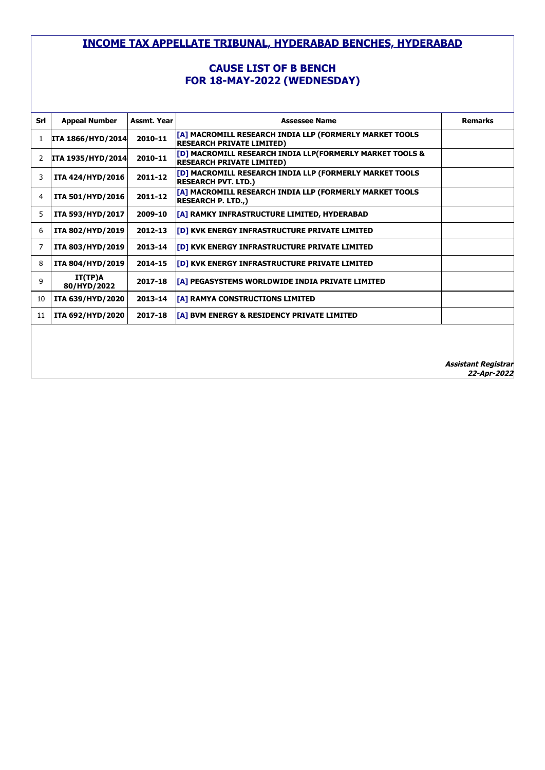# **CAUSE LIST OF B BENCH FOR 18-MAY-2022 (WEDNESDAY)**

| Srl | <b>Appeal Number</b>     | Assmt. Year | <b>Assessee Name</b>                                                                         | <b>Remarks</b> |
|-----|--------------------------|-------------|----------------------------------------------------------------------------------------------|----------------|
| 1   | <b>ITA 1866/HYD/2014</b> | 2010-11     | [A] MACROMILL RESEARCH INDIA LLP (FORMERLY MARKET TOOLS<br><b>RESEARCH PRIVATE LIMITED)</b>  |                |
|     | ITA 1935/HYD/2014        | 2010-11     | [D] MACROMILL RESEARCH INDIA LLP(FORMERLY MARKET TOOLS &<br><b>RESEARCH PRIVATE LIMITED)</b> |                |
| 3   | ITA 424/HYD/2016         | 2011-12     | [D] MACROMILL RESEARCH INDIA LLP (FORMERLY MARKET TOOLS<br><b>RESEARCH PVT. LTD.)</b>        |                |
| 4   | ITA 501/HYD/2016         | 2011-12     | [A] MACROMILL RESEARCH INDIA LLP (FORMERLY MARKET TOOLS<br><b>RESEARCH P. LTD.,)</b>         |                |
| 5   | ITA 593/HYD/2017         | 2009-10     | [A] RAMKY INFRASTRUCTURE LIMITED, HYDERABAD                                                  |                |
| 6   | ITA 802/HYD/2019         | 2012-13     | [D] KVK ENERGY INFRASTRUCTURE PRIVATE LIMITED                                                |                |
| 7   | ITA 803/HYD/2019         | 2013-14     | [D] KVK ENERGY INFRASTRUCTURE PRIVATE LIMITED                                                |                |
| 8   | ITA 804/HYD/2019         | 2014-15     | [D] KVK ENERGY INFRASTRUCTURE PRIVATE LIMITED                                                |                |
| 9   | IT(TP)A<br>80/HYD/2022   | 2017-18     | [A] PEGASYSTEMS WORLDWIDE INDIA PRIVATE LIMITED                                              |                |
| 10  | ITA 639/HYD/2020         | 2013-14     | [A] RAMYA CONSTRUCTIONS LIMITED                                                              |                |
| 11  | ITA 692/HYD/2020         | 2017-18     | [A] BVM ENERGY & RESIDENCY PRIVATE LIMITED                                                   |                |
|     |                          |             |                                                                                              |                |
|     |                          |             |                                                                                              |                |
|     |                          |             |                                                                                              | .              |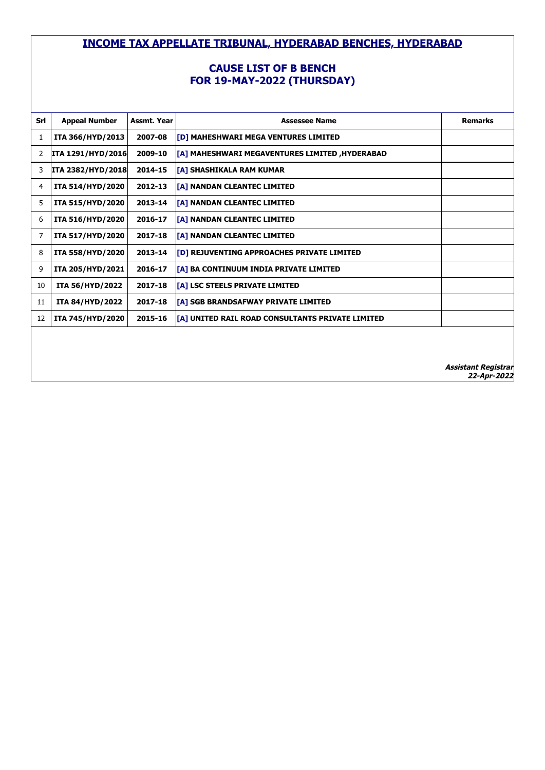### **CAUSE LIST OF B BENCH FOR 19-MAY-2022 (THURSDAY)**

| Srl | <b>Appeal Number</b>     | <b>Assmt. Year</b> | <b>Assessee Name</b>                                    | <b>Remarks</b> |
|-----|--------------------------|--------------------|---------------------------------------------------------|----------------|
| 1   | ITA 366/HYD/2013         | 2007-08            | <b>[D] MAHESHWARI MEGA VENTURES LIMITED</b>             |                |
| 2   | <b>ITA 1291/HYD/2016</b> | 2009-10            | [A] MAHESHWARI MEGAVENTURES LIMITED ,HYDERABAD          |                |
| 3   | <b>ITA 2382/HYD/2018</b> | 2014-15            | <b>TA1 SHASHIKALA RAM KUMAR</b>                         |                |
| 4   | ITA 514/HYD/2020         | 2012-13            | <b>[A] NANDAN CLEANTEC LIMITED</b>                      |                |
| 5   | ITA 515/HYD/2020         | 2013-14            | [[A] NANDAN CLEANTEC LIMITED                            |                |
| 6   | ITA 516/HYD/2020         | 2016-17            | <b>[A] NANDAN CLEANTEC LIMITED</b>                      |                |
| 7   | ITA 517/HYD/2020         | 2017-18            | [A] NANDAN CLEANTEC LIMITED                             |                |
| 8   | ITA 558/HYD/2020         | 2013-14            | <b>[D] REJUVENTING APPROACHES PRIVATE LIMITED</b>       |                |
| 9   | ITA 205/HYD/2021         | 2016-17            | <b>[[A] BA CONTINUUM INDIA PRIVATE LIMITED</b>          |                |
| 10  | <b>ITA 56/HYD/2022</b>   | 2017-18            | <b>TA1 LSC STEELS PRIVATE LIMITED</b>                   |                |
| 11  | <b>ITA 84/HYD/2022</b>   | 2017-18            | [[A] SGB BRANDSAFWAY PRIVATE LIMITED                    |                |
| 12  | ITA 745/HYD/2020         | 2015-16            | <b>TAI UNITED RAIL ROAD CONSULTANTS PRIVATE LIMITED</b> |                |
|     |                          |                    |                                                         |                |
|     |                          |                    |                                                         |                |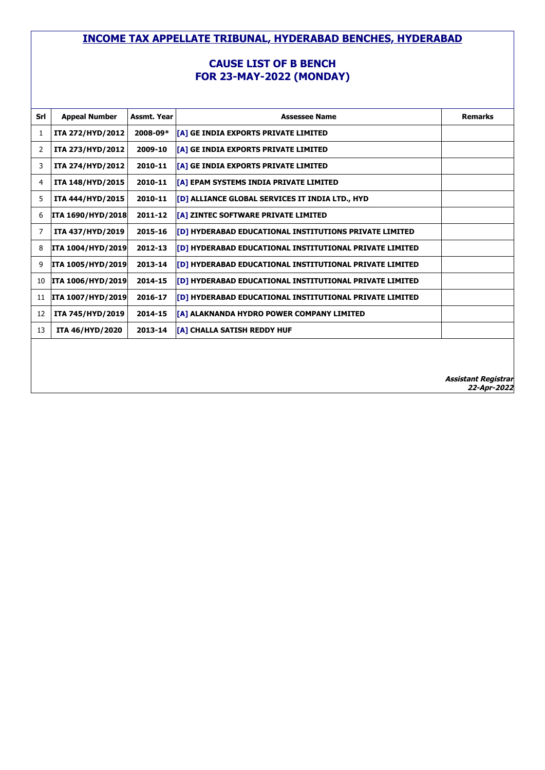#### **CAUSE LIST OF B BENCH FOR 23-MAY-2022 (MONDAY)**

| Srl | <b>Appeal Number</b>     | Assmt. Year | <b>Assessee Name</b>                                            | <b>Remarks</b>                            |
|-----|--------------------------|-------------|-----------------------------------------------------------------|-------------------------------------------|
| 1   | ITA 272/HYD/2012         | 2008-09*    | [A] GE INDIA EXPORTS PRIVATE LIMITED                            |                                           |
| 2   | ITA 273/HYD/2012         | 2009-10     | [[A] GE INDIA EXPORTS PRIVATE LIMITED                           |                                           |
| 3   | ITA 274/HYD/2012         | 2010-11     | [[A] GE INDIA EXPORTS PRIVATE LIMITED                           |                                           |
| 4   | ITA 148/HYD/2015         | 2010-11     | [[A] EPAM SYSTEMS INDIA PRIVATE LIMITED                         |                                           |
| 5   | ITA 444/HYD/2015         | 2010-11     | <b>[D] ALLIANCE GLOBAL SERVICES IT INDIA LTD., HYD</b>          |                                           |
| 6   | <b>ITA 1690/HYD/2018</b> | 2011-12     | [[A] ZINTEC SOFTWARE PRIVATE LIMITED                            |                                           |
| 7   | ITA 437/HYD/2019         | 2015-16     | <b>[D] HYDERABAD EDUCATIONAL INSTITUTIONS PRIVATE LIMITED</b>   |                                           |
| 8   | <b>ITA 1004/HYD/2019</b> | 2012-13     | <b>[D] HYDERABAD EDUCATIONAL INSTITUTIONAL PRIVATE LIMITED</b>  |                                           |
| 9   | <b>ITA 1005/HYD/2019</b> | 2013-14     | <b>[[D] HYDERABAD EDUCATIONAL INSTITUTIONAL PRIVATE LIMITED</b> |                                           |
| 10  | <b>ITA 1006/HYD/2019</b> | 2014-15     | <b>[D] HYDERABAD EDUCATIONAL INSTITUTIONAL PRIVATE LIMITED</b>  |                                           |
| 11  | <b>ITA 1007/HYD/2019</b> | 2016-17     | <b>[D] HYDERABAD EDUCATIONAL INSTITUTIONAL PRIVATE LIMITED</b>  |                                           |
| 12  | ITA 745/HYD/2019         | 2014-15     | [[A] ALAKNANDA HYDRO POWER COMPANY LIMITED                      |                                           |
| 13  | ITA 46/HYD/2020          | 2013-14     | <b>[A] CHALLA SATISH REDDY HUF</b>                              |                                           |
|     |                          |             |                                                                 |                                           |
|     |                          |             |                                                                 |                                           |
|     |                          |             |                                                                 | <b>Assistant Registrar</b><br>22-Apr-2022 |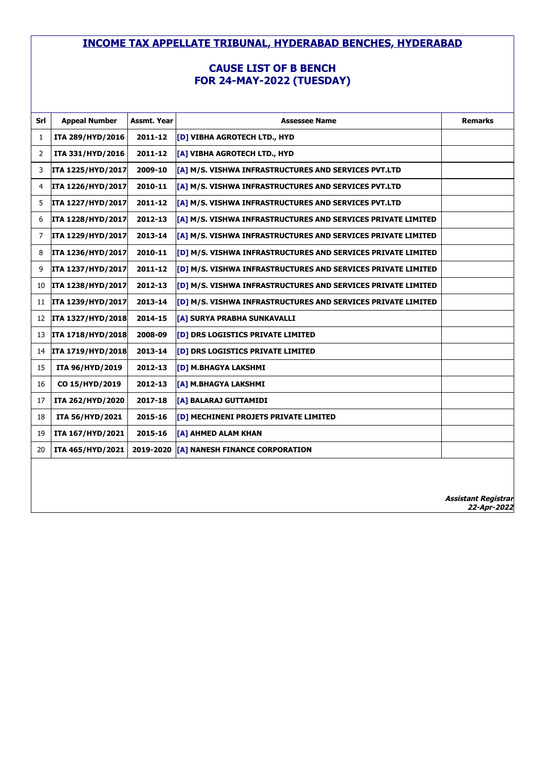### **CAUSE LIST OF B BENCH FOR 24-MAY-2022 (TUESDAY)**

| Srl | <b>Appeal Number</b> | Assmt. Year | <b>Assessee Name</b>                                         | <b>Remarks</b>             |
|-----|----------------------|-------------|--------------------------------------------------------------|----------------------------|
| 1   | ITA 289/HYD/2016     | 2011-12     | [D] VIBHA AGROTECH LTD., HYD                                 |                            |
| 2   | ITA 331/HYD/2016     | 2011-12     | [A] VIBHA AGROTECH LTD., HYD                                 |                            |
| 3   | ITA 1225/HYD/2017    | 2009-10     | [A] M/S. VISHWA INFRASTRUCTURES AND SERVICES PVT.LTD         |                            |
| 4   | ITA 1226/HYD/2017    | 2010-11     | [A] M/S. VISHWA INFRASTRUCTURES AND SERVICES PVT.LTD         |                            |
| 5   | ITA 1227/HYD/2017    | 2011-12     | [A] M/S. VISHWA INFRASTRUCTURES AND SERVICES PVT.LTD         |                            |
| 6   | ITA 1228/HYD/2017    | 2012-13     | [A] M/S. VISHWA INFRASTRUCTURES AND SERVICES PRIVATE LIMITED |                            |
| 7   | ITA 1229/HYD/2017    | 2013-14     | [A] M/S. VISHWA INFRASTRUCTURES AND SERVICES PRIVATE LIMITED |                            |
| 8   | ITA 1236/HYD/2017    | 2010-11     | [D] M/S. VISHWA INFRASTRUCTURES AND SERVICES PRIVATE LIMITED |                            |
| 9   | ITA 1237/HYD/2017    | 2011-12     | [D] M/S. VISHWA INFRASTRUCTURES AND SERVICES PRIVATE LIMITED |                            |
| 10  | ITA 1238/HYD/2017    | 2012-13     | [D] M/S. VISHWA INFRASTRUCTURES AND SERVICES PRIVATE LIMITED |                            |
| 11  | ITA 1239/HYD/2017    | 2013-14     | [D] M/S. VISHWA INFRASTRUCTURES AND SERVICES PRIVATE LIMITED |                            |
| 12  | ITA 1327/HYD/2018    | 2014-15     | [A] SURYA PRABHA SUNKAVALLI                                  |                            |
| 13  | ITA 1718/HYD/2018    | 2008-09     | [D] DRS LOGISTICS PRIVATE LIMITED                            |                            |
| 14  | ITA 1719/HYD/2018    | 2013-14     | [D] DRS LOGISTICS PRIVATE LIMITED                            |                            |
| 15  | ITA 96/HYD/2019      | 2012-13     | [D] M.BHAGYA LAKSHMI                                         |                            |
| 16  | CO 15/HYD/2019       | 2012-13     | [A] M.BHAGYA LAKSHMI                                         |                            |
| 17  | ITA 262/HYD/2020     | 2017-18     | [A] BALARAJ GUTTAMIDI                                        |                            |
| 18  | ITA 56/HYD/2021      | 2015-16     | <b>[D] MECHINENI PROJETS PRIVATE LIMITED</b>                 |                            |
| 19  | ITA 167/HYD/2021     | 2015-16     | [A] AHMED ALAM KHAN                                          |                            |
| 20  | ITA 465/HYD/2021     | 2019-2020   | [A] NANESH FINANCE CORPORATION                               |                            |
|     |                      |             |                                                              |                            |
|     |                      |             |                                                              |                            |
|     |                      |             |                                                              | <b>Assistant Registrar</b> |

**22-Apr-2022**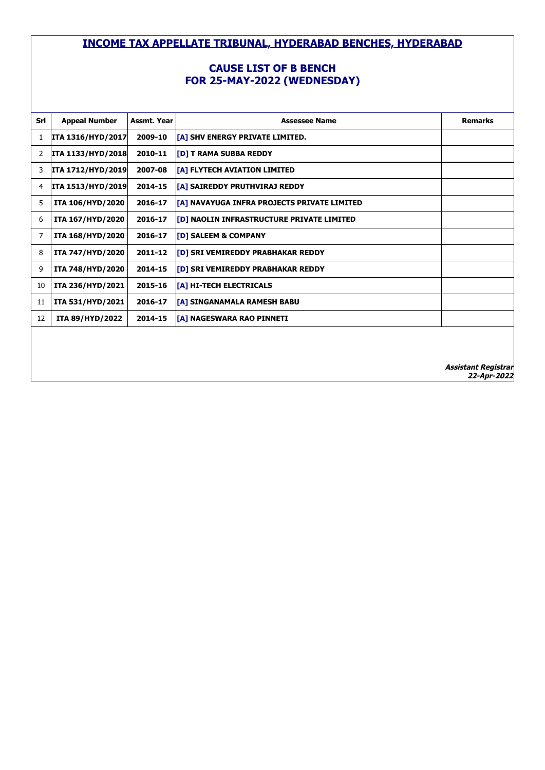# **CAUSE LIST OF B BENCH FOR 25-MAY-2022 (WEDNESDAY)**

| Srl | <b>Appeal Number</b>     | Assmt. Year | <b>Assessee Name</b>                             | <b>Remarks</b> |
|-----|--------------------------|-------------|--------------------------------------------------|----------------|
| 1   | ITA 1316/HYD/2017        | 2009-10     | [A] SHV ENERGY PRIVATE LIMITED.                  |                |
| 2   | <b>ITA 1133/HYD/2018</b> | 2010-11     | [D] T RAMA SUBBA REDDY                           |                |
| 3   | ITA 1712/HYD/2019        | 2007-08     | [A] FLYTECH AVIATION LIMITED                     |                |
| 4   | <b>ITA 1513/HYD/2019</b> | 2014-15     | [A] SAIREDDY PRUTHVIRAJ REDDY                    |                |
| 5   | ITA 106/HYD/2020         | 2016-17     | [A] NAVAYUGA INFRA PROJECTS PRIVATE LIMITED      |                |
| 6   | ITA 167/HYD/2020         | 2016-17     | <b>[D] NAOLIN INFRASTRUCTURE PRIVATE LIMITED</b> |                |
| 7   | ITA 168/HYD/2020         | 2016-17     | [D] SALEEM & COMPANY                             |                |
| 8   | ITA 747/HYD/2020         | 2011-12     | [D] SRI VEMIREDDY PRABHAKAR REDDY                |                |
| 9   | ITA 748/HYD/2020         | 2014-15     | [D] SRI VEMIREDDY PRABHAKAR REDDY                |                |
| 10  | ITA 236/HYD/2021         | 2015-16     | [A] HI-TECH ELECTRICALS                          |                |
| 11  | ITA 531/HYD/2021         | 2016-17     | [A] SINGANAMALA RAMESH BABU                      |                |
| 12  | <b>ITA 89/HYD/2022</b>   | 2014-15     | [A] NAGESWARA RAO PINNETI                        |                |
|     |                          |             |                                                  |                |
|     |                          |             |                                                  |                |
|     |                          |             |                                                  | .              |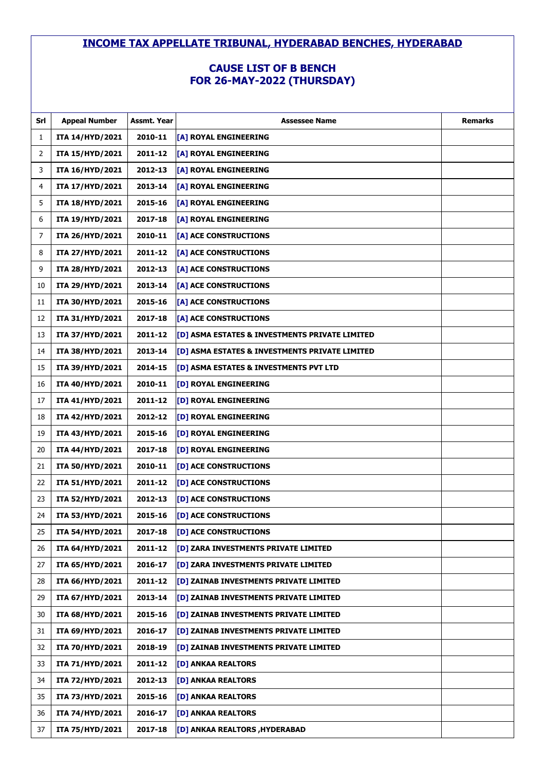# **CAUSE LIST OF B BENCH FOR 26-MAY-2022 (THURSDAY)**

| Srl | <b>Appeal Number</b>   | Assmt. Year | <b>Assessee Name</b>                           | <b>Remarks</b> |
|-----|------------------------|-------------|------------------------------------------------|----------------|
| 1   | ITA 14/HYD/2021        | 2010-11     | [A] ROYAL ENGINEERING                          |                |
| 2   | ITA 15/HYD/2021        | 2011-12     | [A] ROYAL ENGINEERING                          |                |
| 3   | ITA 16/HYD/2021        | 2012-13     | [A] ROYAL ENGINEERING                          |                |
| 4   | ITA 17/HYD/2021        | 2013-14     | [A] ROYAL ENGINEERING                          |                |
| 5   | ITA 18/HYD/2021        | 2015-16     | [A] ROYAL ENGINEERING                          |                |
| 6   | ITA 19/HYD/2021        | 2017-18     | [A] ROYAL ENGINEERING                          |                |
| 7   | ITA 26/HYD/2021        | 2010-11     | [A] ACE CONSTRUCTIONS                          |                |
| 8   | ITA 27/HYD/2021        | 2011-12     | [A] ACE CONSTRUCTIONS                          |                |
| 9   | ITA 28/HYD/2021        | 2012-13     | [A] ACE CONSTRUCTIONS                          |                |
| 10  | ITA 29/HYD/2021        | 2013-14     | [A] ACE CONSTRUCTIONS                          |                |
| 11  | ITA 30/HYD/2021        | 2015-16     | [A] ACE CONSTRUCTIONS                          |                |
| 12  | ITA 31/HYD/2021        | 2017-18     | [A] ACE CONSTRUCTIONS                          |                |
| 13  | ITA 37/HYD/2021        | 2011-12     | [D] ASMA ESTATES & INVESTMENTS PRIVATE LIMITED |                |
| 14  | ITA 38/HYD/2021        | 2013-14     | [D] ASMA ESTATES & INVESTMENTS PRIVATE LIMITED |                |
| 15  | ITA 39/HYD/2021        | 2014-15     | [D] ASMA ESTATES & INVESTMENTS PVT LTD         |                |
| 16  | ITA 40/HYD/2021        | 2010-11     | [D] ROYAL ENGINEERING                          |                |
| 17  | ITA 41/HYD/2021        | 2011-12     | [D] ROYAL ENGINEERING                          |                |
| 18  | ITA 42/HYD/2021        | 2012-12     | [D] ROYAL ENGINEERING                          |                |
| 19  | ITA 43/HYD/2021        | 2015-16     | [D] ROYAL ENGINEERING                          |                |
| 20  | ITA 44/HYD/2021        | 2017-18     | [D] ROYAL ENGINEERING                          |                |
| 21  | <b>ITA 50/HYD/2021</b> | 2010-11     | [D] ACE CONSTRUCTIONS                          |                |
| 22  | ITA 51/HYD/2021        | 2011-12     | [D] ACE CONSTRUCTIONS                          |                |
| 23  | <b>ITA 52/HYD/2021</b> | 2012-13     | [D] ACE CONSTRUCTIONS                          |                |
| 24  | ITA 53/HYD/2021        | 2015-16     | [D] ACE CONSTRUCTIONS                          |                |
| 25  | ITA 54/HYD/2021        | 2017-18     | [D] ACE CONSTRUCTIONS                          |                |
| 26  | ITA 64/HYD/2021        | 2011-12     | [D] ZARA INVESTMENTS PRIVATE LIMITED           |                |
| 27  | ITA 65/HYD/2021        | 2016-17     | [D] ZARA INVESTMENTS PRIVATE LIMITED           |                |
| 28  | ITA 66/HYD/2021        | 2011-12     | [D] ZAINAB INVESTMENTS PRIVATE LIMITED         |                |
| 29  | ITA 67/HYD/2021        | 2013-14     | [D] ZAINAB INVESTMENTS PRIVATE LIMITED         |                |
| 30  | ITA 68/HYD/2021        | 2015-16     | [D] ZAINAB INVESTMENTS PRIVATE LIMITED         |                |
| 31  | ITA 69/HYD/2021        | 2016-17     | [D] ZAINAB INVESTMENTS PRIVATE LIMITED         |                |
| 32  | ITA 70/HYD/2021        | 2018-19     | [D] ZAINAB INVESTMENTS PRIVATE LIMITED         |                |
| 33  | ITA 71/HYD/2021        | 2011-12     | [D] ANKAA REALTORS                             |                |
| 34  | ITA 72/HYD/2021        | 2012-13     | [D] ANKAA REALTORS                             |                |
| 35  | ITA 73/HYD/2021        | 2015-16     | [D] ANKAA REALTORS                             |                |
| 36  | ITA 74/HYD/2021        | 2016-17     | [D] ANKAA REALTORS                             |                |
| 37  | ITA 75/HYD/2021        | 2017-18     | [D] ANKAA REALTORS , HYDERABAD                 |                |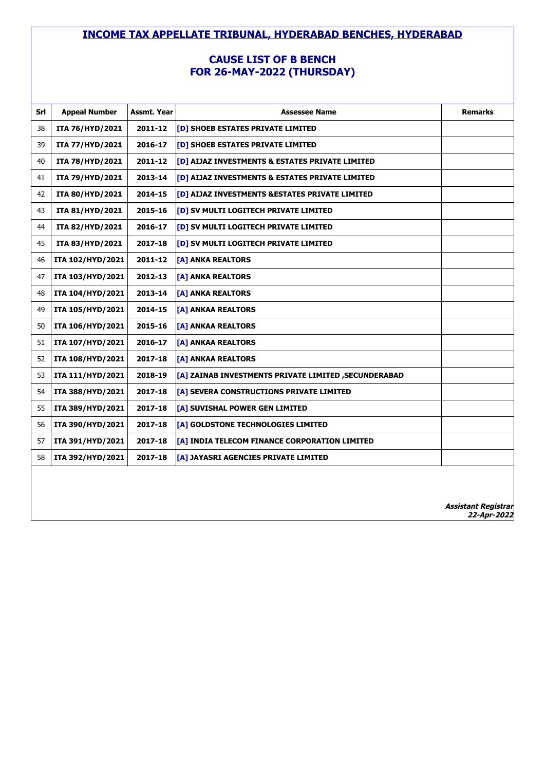### **CAUSE LIST OF B BENCH FOR 26-MAY-2022 (THURSDAY)**

| Srl | <b>Appeal Number</b>   | Assmt. Year | <b>Assessee Name</b>                                 | <b>Remarks</b>                            |
|-----|------------------------|-------------|------------------------------------------------------|-------------------------------------------|
| 38  | ITA 76/HYD/2021        | 2011-12     | [D] SHOEB ESTATES PRIVATE LIMITED                    |                                           |
| 39  | ITA 77/HYD/2021        | 2016-17     | [D] SHOEB ESTATES PRIVATE LIMITED                    |                                           |
| 40  | ITA 78/HYD/2021        | 2011-12     | [D] AIJAZ INVESTMENTS & ESTATES PRIVATE LIMITED      |                                           |
| 41  | ITA 79/HYD/2021        | 2013-14     | [D] AIJAZ INVESTMENTS & ESTATES PRIVATE LIMITED      |                                           |
| 42  | <b>ITA 80/HYD/2021</b> | 2014-15     | [D] AIJAZ INVESTMENTS & ESTATES PRIVATE LIMITED      |                                           |
| 43  | ITA 81/HYD/2021        | 2015-16     | [D] SV MULTI LOGITECH PRIVATE LIMITED                |                                           |
| 44  | <b>ITA 82/HYD/2021</b> | 2016-17     | [D] SV MULTI LOGITECH PRIVATE LIMITED                |                                           |
| 45  | ITA 83/HYD/2021        | 2017-18     | [D] SV MULTI LOGITECH PRIVATE LIMITED                |                                           |
| 46  | ITA 102/HYD/2021       | 2011-12     | [A] ANKA REALTORS                                    |                                           |
| 47  | ITA 103/HYD/2021       | 2012-13     | [A] ANKA REALTORS                                    |                                           |
| 48  | ITA 104/HYD/2021       | 2013-14     | [A] ANKA REALTORS                                    |                                           |
| 49  | ITA 105/HYD/2021       | 2014-15     | [A] ANKAA REALTORS                                   |                                           |
| 50  | ITA 106/HYD/2021       | 2015-16     | [A] ANKAA REALTORS                                   |                                           |
| 51  | ITA 107/HYD/2021       | 2016-17     | [A] ANKAA REALTORS                                   |                                           |
| 52  | ITA 108/HYD/2021       | 2017-18     | [A] ANKAA REALTORS                                   |                                           |
| 53  | ITA 111/HYD/2021       | 2018-19     | [A] ZAINAB INVESTMENTS PRIVATE LIMITED, SECUNDERABAD |                                           |
| 54  | ITA 388/HYD/2021       | 2017-18     | [A] SEVERA CONSTRUCTIONS PRIVATE LIMITED             |                                           |
| 55  | ITA 389/HYD/2021       | 2017-18     | [A] SUVISHAL POWER GEN LIMITED                       |                                           |
| 56  | ITA 390/HYD/2021       | 2017-18     | [A] GOLDSTONE TECHNOLOGIES LIMITED                   |                                           |
| 57  | ITA 391/HYD/2021       | 2017-18     | [A] INDIA TELECOM FINANCE CORPORATION LIMITED        |                                           |
| 58  | ITA 392/HYD/2021       | 2017-18     | [A] JAYASRI AGENCIES PRIVATE LIMITED                 |                                           |
|     |                        |             |                                                      |                                           |
|     |                        |             |                                                      |                                           |
|     |                        |             |                                                      | <b>Assistant Registrar</b><br>22-Apr-2022 |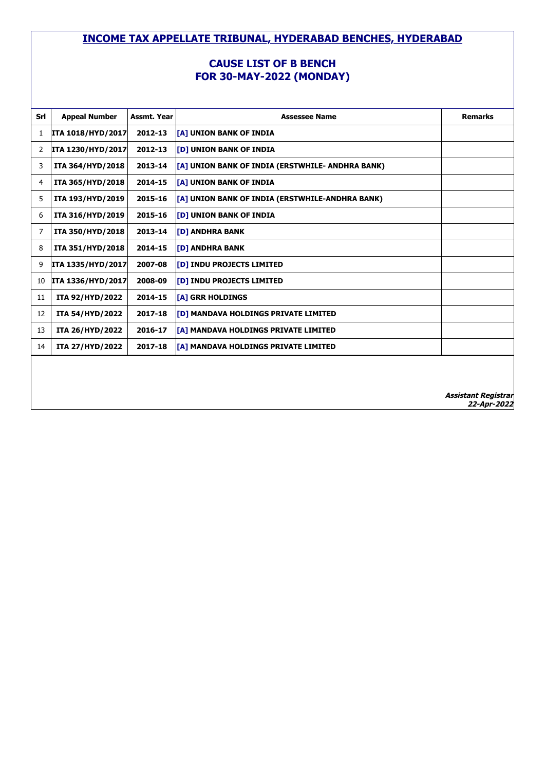#### **CAUSE LIST OF B BENCH FOR 30-MAY-2022 (MONDAY)**

| Srl | <b>Appeal Number</b>     | Assmt. Year | <b>Assessee Name</b>                             | <b>Remarks</b>                            |
|-----|--------------------------|-------------|--------------------------------------------------|-------------------------------------------|
| 1   | <b>ITA 1018/HYD/2017</b> | 2012-13     | <b>[A] UNION BANK OF INDIA</b>                   |                                           |
| 2   | <b>ITA 1230/HYD/2017</b> | 2012-13     | <b>[D] UNION BANK OF INDIA</b>                   |                                           |
| 3   | ITA 364/HYD/2018         | 2013-14     | [A] UNION BANK OF INDIA (ERSTWHILE- ANDHRA BANK) |                                           |
| 4   | ITA 365/HYD/2018         | 2014-15     | <b>[A] UNION BANK OF INDIA</b>                   |                                           |
| 5   | ITA 193/HYD/2019         | 2015-16     | [A] UNION BANK OF INDIA (ERSTWHILE-ANDHRA BANK)  |                                           |
| 6   | ITA 316/HYD/2019         | 2015-16     | <b>[D] UNION BANK OF INDIA</b>                   |                                           |
| 7   | ITA 350/HYD/2018         | 2013-14     | <b>[D] ANDHRA BANK</b>                           |                                           |
| 8   | ITA 351/HYD/2018         | 2014-15     | <b>[D] ANDHRA BANK</b>                           |                                           |
| 9   | ITA 1335/HYD/2017        | 2007-08     | <b>[D] INDU PROJECTS LIMITED</b>                 |                                           |
| 10  | ITA 1336/HYD/2017        | 2008-09     | <b>[D] INDU PROJECTS LIMITED</b>                 |                                           |
| 11  | ITA 92/HYD/2022          | 2014-15     | [A] GRR HOLDINGS                                 |                                           |
| 12  | <b>ITA 54/HYD/2022</b>   | 2017-18     | <b>[D] MANDAVA HOLDINGS PRIVATE LIMITED</b>      |                                           |
| 13  | <b>ITA 26/HYD/2022</b>   | 2016-17     | <b>[A] MANDAVA HOLDINGS PRIVATE LIMITED</b>      |                                           |
| 14  | <b>ITA 27/HYD/2022</b>   | 2017-18     | <b>[A] MANDAVA HOLDINGS PRIVATE LIMITED</b>      |                                           |
|     |                          |             |                                                  |                                           |
|     |                          |             |                                                  |                                           |
|     |                          |             |                                                  | <b>Assistant Registrar</b><br>22-Apr-2022 |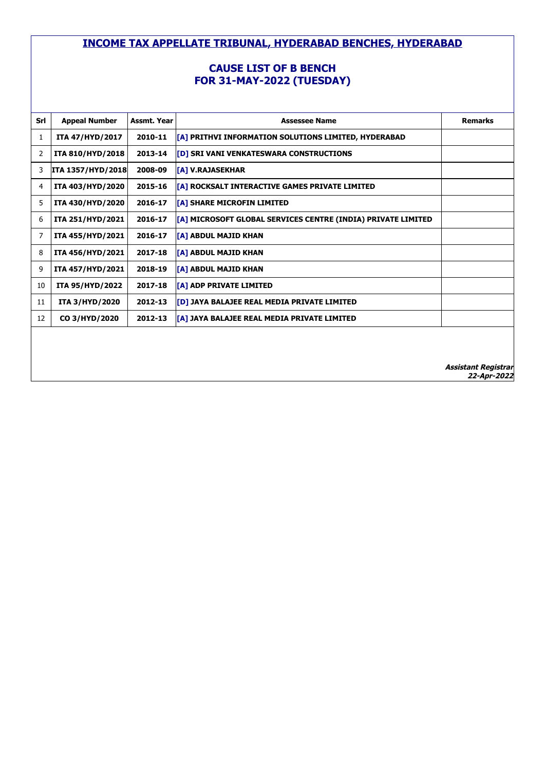### **CAUSE LIST OF B BENCH FOR 31-MAY-2022 (TUESDAY)**

| Srl | <b>Appeal Number</b>     | Assmt. Year | <b>Assessee Name</b>                                          | <b>Remarks</b> |
|-----|--------------------------|-------------|---------------------------------------------------------------|----------------|
| 1   | ITA 47/HYD/2017          | 2010-11     | [[A] PRITHVI INFORMATION SOLUTIONS LIMITED, HYDERABAD         |                |
| 2   | ITA 810/HYD/2018         | 2013-14     | [D] SRI VANI VENKATESWARA CONSTRUCTIONS                       |                |
| 3   | <b>ITA 1357/HYD/2018</b> | 2008-09     | <b>TA1 V.RAJASEKHAR</b>                                       |                |
| 4   | ITA 403/HYD/2020         | 2015-16     | [A] ROCKSALT INTERACTIVE GAMES PRIVATE LIMITED                |                |
| 5   | ITA 430/HYD/2020         | 2016-17     | [A] SHARE MICROFIN LIMITED                                    |                |
| 6   | ITA 251/HYD/2021         | 2016-17     | [[A] MICROSOFT GLOBAL SERVICES CENTRE (INDIA) PRIVATE LIMITED |                |
| 7   | ITA 455/HYD/2021         | 2016-17     | [A] ABDUL MAJID KHAN                                          |                |
| 8   | ITA 456/HYD/2021         | 2017-18     | <b>[A] ABDUL MAJID KHAN</b>                                   |                |
| 9   | ITA 457/HYD/2021         | 2018-19     | <b>[A] ABDUL MAJID KHAN</b>                                   |                |
| 10  | <b>ITA 95/HYD/2022</b>   | 2017-18     | [A] ADP PRIVATE LIMITED                                       |                |
| 11  | <b>ITA 3/HYD/2020</b>    | 2012-13     | [D] JAYA BALAJEE REAL MEDIA PRIVATE LIMITED                   |                |
| 12  | CO 3/HYD/2020            | 2012-13     | [[A] JAYA BALAJEE REAL MEDIA PRIVATE LIMITED                  |                |
|     |                          |             |                                                               |                |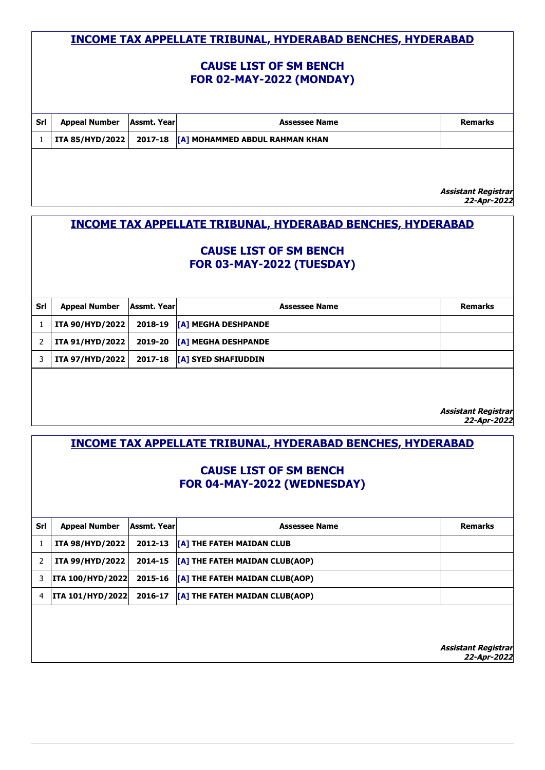### **CAUSE LIST OF SM BENCH FOR 02-MAY-2022 (MONDAY)**

| Srl | <b>Appeal Number</b>   | Assmt. Year | <b>Assessee Name</b>                   | <b>Remarks</b>                             |
|-----|------------------------|-------------|----------------------------------------|--------------------------------------------|
|     | <b>ITA 85/HYD/2022</b> |             | 2017-18 [A] MOHAMMED ABDUL RAHMAN KHAN |                                            |
|     |                        |             |                                        |                                            |
|     |                        |             |                                        |                                            |
|     |                        |             |                                        |                                            |
|     |                        |             |                                        | <i>Assistant Registrar<br/>22-Apr-2022</i> |

# **INCOME TAX APPELLATE TRIBUNAL, HYDERABAD BENCHES, HYDERABAD**

### **CAUSE LIST OF SM BENCH FOR 03-MAY-2022 (TUESDAY)**

| Srl | Appeal Number   Assmt. Year |  | <b>Assessee Name</b>                           | Remarks |  |  |
|-----|-----------------------------|--|------------------------------------------------|---------|--|--|
|     | <b>ITA 90/HYD/2022</b>      |  | 2018-19 [A] MEGHA DESHPANDE                    |         |  |  |
|     |                             |  | ITA 91/HYD/2022   2019-20  [A] MEGHA DESHPANDE |         |  |  |
|     |                             |  | ITA 97/HYD/2022   2017-18  [A] SYED SHAFIUDDIN |         |  |  |
|     |                             |  |                                                |         |  |  |

**Assistant Registrar 22-Apr-2022**

# **INCOME TAX APPELLATE TRIBUNAL, HYDERABAD BENCHES, HYDERABAD**

### **CAUSE LIST OF SM BENCH FOR 04-MAY-2022 (WEDNESDAY)**

| Srl | <b>Appeal Number</b>    | Assmt. Yearl | <b>Assessee Name</b>                                                        | <b>Remarks</b> |  |  |
|-----|-------------------------|--------------|-----------------------------------------------------------------------------|----------------|--|--|
|     | <b>ITA 98/HYD/2022</b>  |              | 2012-13 [A] THE FATEH MAIDAN CLUB                                           |                |  |  |
|     | ITA 99/HYD/2022         |              | 2014-15   [A] THE FATEH MAIDAN CLUB(AOP)                                    |                |  |  |
|     | <b>ITA 100/HYD/2022</b> |              | 2015-16 <b>[A] THE FATEH MAIDAN CLUB(AOP)</b>                               |                |  |  |
|     | <b>ITA 101/HYD/2022</b> |              | 2016-17 $\left  \left[ \text{A} \right] \right $ THE FATEH MAIDAN CLUB(AOP) |                |  |  |
|     |                         |              |                                                                             |                |  |  |